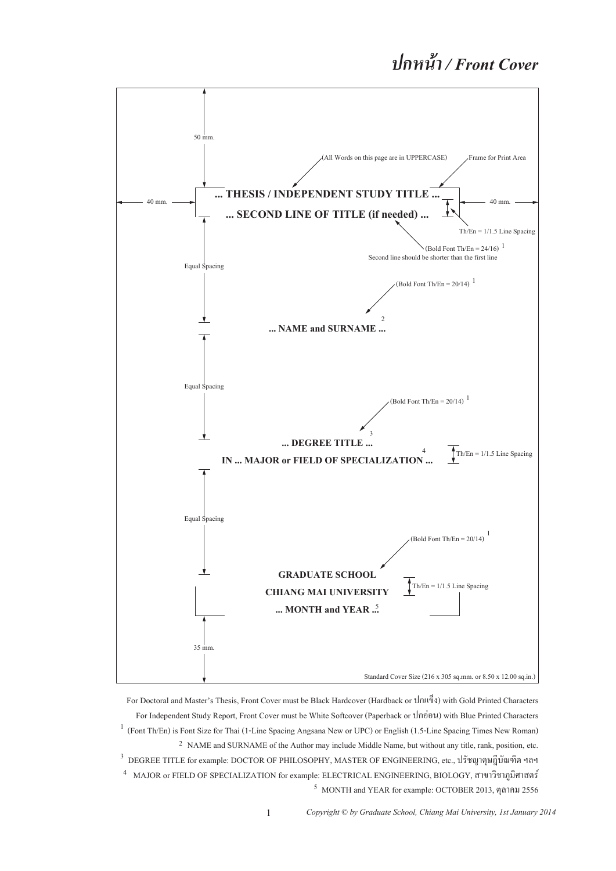# *ปกหน้ า / Front Cover*



For Doctoral and Master's Thesis, Front Cover must be Black Hardcover (Hardback or ปกแข็ง) with Gold Printed Characters For Independent Study Report, Front Cover must be White Softcover (Paperback or ปกอ่อน) with Blue Printed Characters <sup>1</sup> (Font Th/En) is Font Size for Thai (1-Line Spacing Angsana New or UPC) or English (1.5-Line Spacing Times New Roman) <sup>2</sup> NAME and SURNAME of the Author may include Middle Name, but without any title, rank, position, etc.  $^3$  DEGREE TITLE for example: DOCTOR OF PHILOSOPHY, MASTER OF ENGINEERING, etc., ปรัชญาคุษฎีบัณฑิต ฯลฯ MAJOR or FIELD OF SPECIALIZATION for example: ELECTRICAL ENGINEERING, BIOLOGY, สาขาวิชาภูมิศาสตร์ 4 MONTH and YEAR for example: OCTOBER 2013, ตุลาคม 2556 5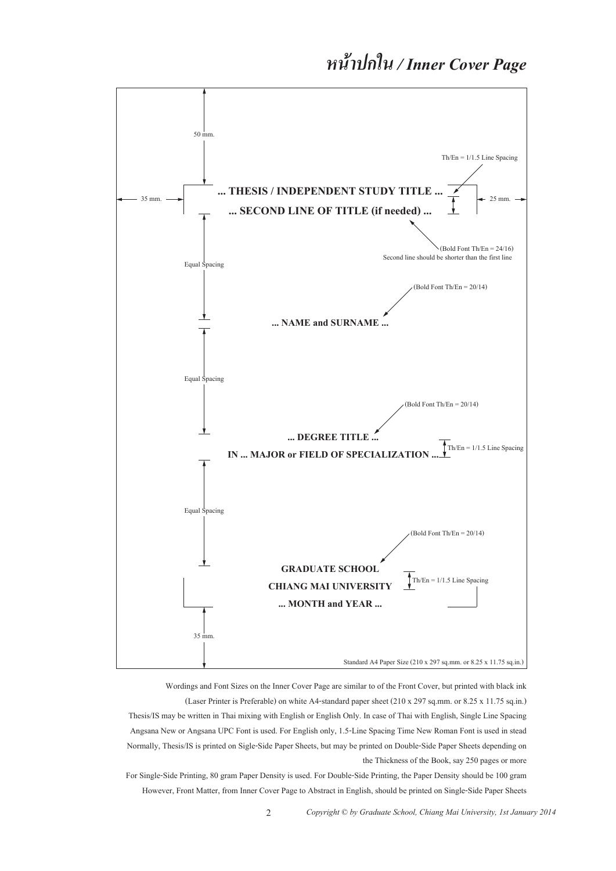![](_page_1_Figure_1.jpeg)

Wordings and Font Sizes on the Inner Cover Page are similar to of the Front Cover, but printed with black ink (Laser Printer is Preferable) on white A4-standard paper sheet (210 x 297 sq.mm. or 8.25 x 11.75 sq.in.) Thesis/IS may be written in Thai mixing with English or English Only. In case of Thai with English, Single Line Spacing Angsana New or Angsana UPC Font is used. For English only, 1.5-Line Spacing Time New Roman Font is used in stead Normally, Thesis/IS is printed on Sigle-Side Paper Sheets, but may be printed on Double-Side Paper Sheets depending on the Thickness of the Book, say 250 pages or more

For Single-Side Printing, 80 gram Paper Density is used. For Double-Side Printing, the Paper Density should be 100 gram However, Front Matter, from Inner Cover Page to Abstract in English, should be printed on Single-Side Paper Sheets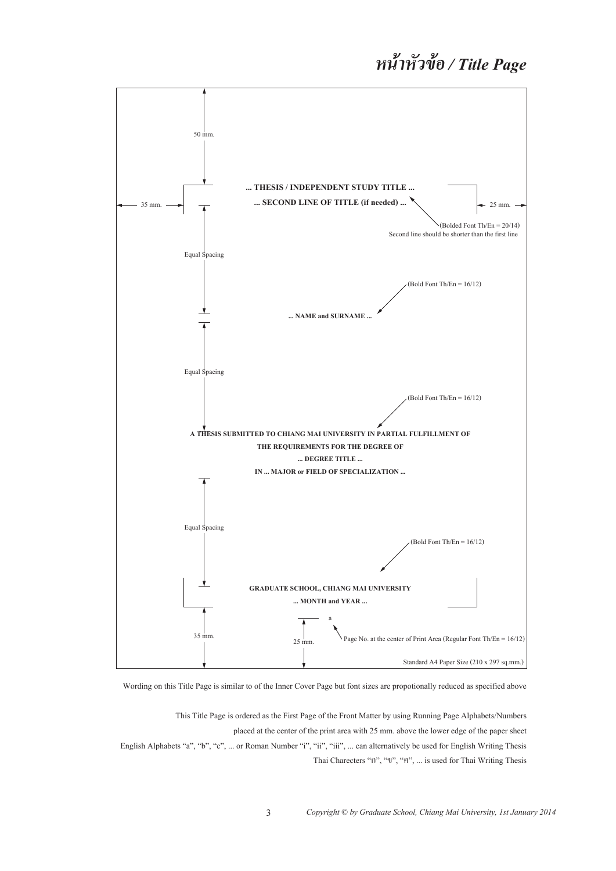![](_page_2_Figure_1.jpeg)

Wording on this Title Page is similar to of the Inner Cover Page but font sizes are propotionally reduced as specified above

This Title Page is ordered as the First Page of the Front Matter by using Running Page Alphabets/Numbers placed at the center of the print area with 25 mm. above the lower edge of the paper sheet English Alphabets "a", "b", "c", ... or Roman Number "i", "ii", "iii", ... can alternatively be used for English Writing Thesis Thai Charecters "ก", "ข", "ค", ... is used for Thai Writing Thesis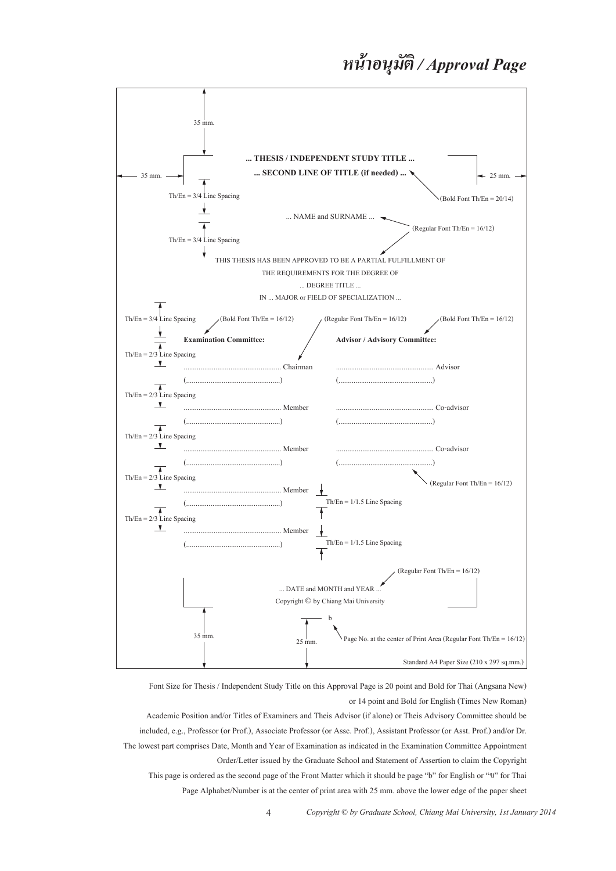#### *หน าอนุมัต ิ / Approval Page ้*

![](_page_3_Figure_1.jpeg)

Font Size for Thesis / Independent Study Title on this Approval Page is 20 point and Bold for Thai (Angsana New) or 14 point and Bold for English (Times New Roman)

Academic Position and/or Titles of Examiners and Theis Advisor (if alone) or Theis Advisory Committee should be included, e.g., Professor (or Prof.), Associate Professor (or Assc. Prof.), Assistant Professor (or Asst. Prof.) and/or Dr. The lowest part comprises Date, Month and Year of Examination as indicated in the Examination Committee Appointment Order/Letter issued by the Graduate School and Statement of Assertion to claim the Copyright This page is ordered as the second page of the Front Matter which it should be page "b" for English or "ข" for Thai Page Alphabet/Number is at the center of print area with 25 mm. above the lower edge of the paper sheet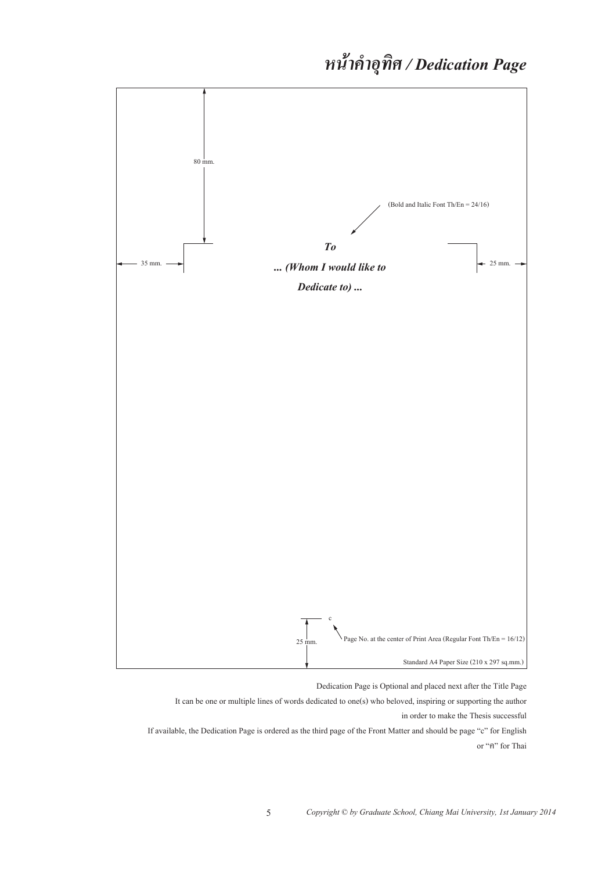![](_page_4_Figure_1.jpeg)

Dedication Page is Optional and placed next after the Title Page

It can be one or multiple lines of words dedicated to one(s) who beloved, inspiring or supporting the author in order to make the Thesis successful

If available, the Dedication Page is ordered as the third page of the Front Matter and should be page "c" for English or "ค" for Thai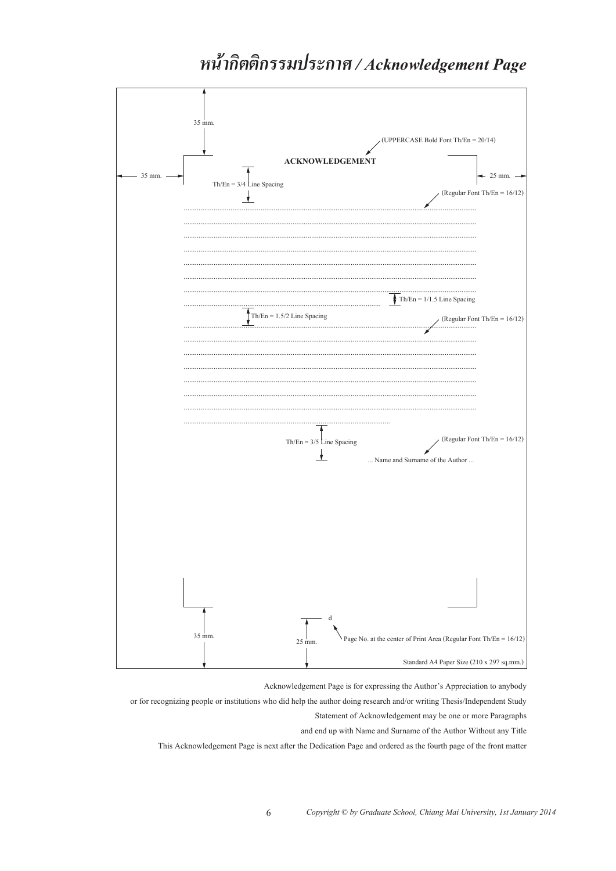![](_page_5_Figure_0.jpeg)

# หน้ากิตติกรรมประกาศ / Acknowledgement Page

Acknowledgement Page is for expressing the Author's Appreciation to anybody

or for recognizing people or institutions who did help the author doing research and/or writing Thesis/Independent Study

 $25$ 

6

 $35 \text{ mm}$ 

Statement of Acknowledgement may be one or more Paragraphs

Page No. at the center of Print Area (Regular Font Th/En =  $16/12$ )

Standard A4 Paper Size (210 x 297 sq.mm.)

and end up with Name and Surname of the Author Without any Title

This Acknowledgement Page is next after the Dedication Page and ordered as the fourth page of the front matter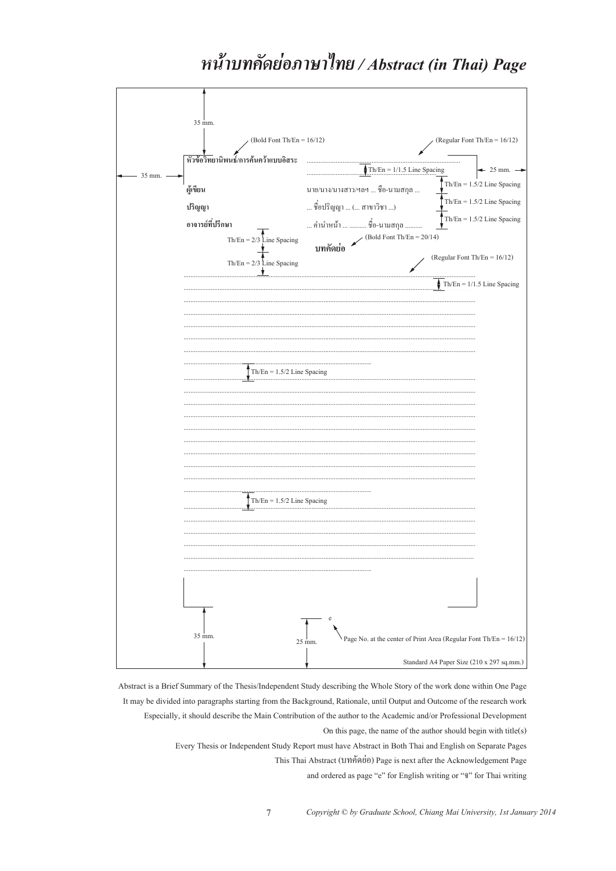![](_page_6_Figure_0.jpeg)

![](_page_6_Figure_1.jpeg)

Abstract is a Brief Summary of the Thesis/Independent Study describing the Whole Story of the work done within One Page It may be divided into paragraphs starting from the Background, Rationale, until Output and Outcome of the research work Especially, it should describe the Main Contribution of the author to the Academic and/or Professional Development On this page, the name of the author should begin with  $title(s)$ Every Thesis or Independent Study Report must have Abstract in Both Thai and English on Separate Pages This Thai Abstract (บทคัดย่อ) Page is next after the Acknowledgement Page

 $\overline{7}$ 

and ordered as page "e" for English writing or """ for Thai writing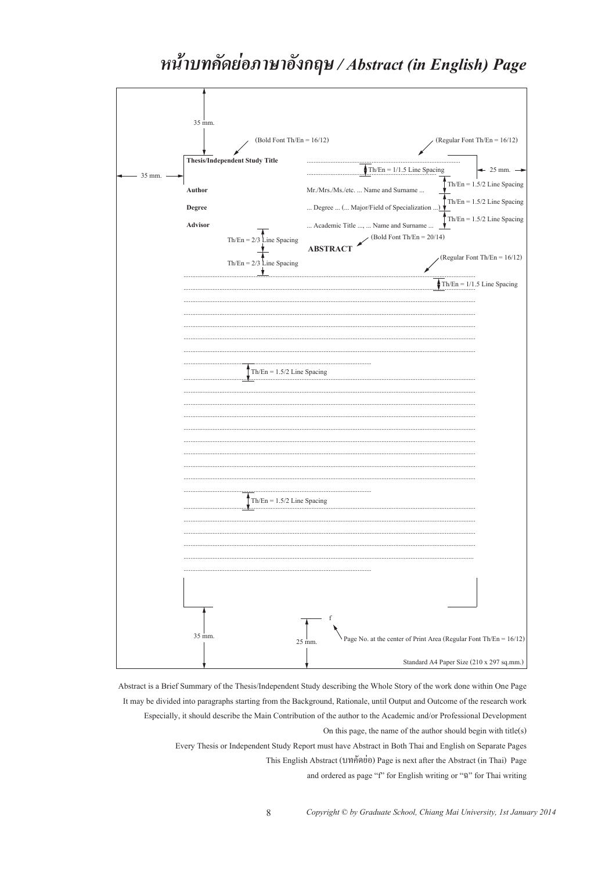# หน้าบทคัดย่อภาษาอังกฤษ / Abstract (in English) Page

![](_page_7_Figure_1.jpeg)

Abstract is a Brief Summary of the Thesis/Independent Study describing the Whole Story of the work done within One Page It may be divided into paragraphs starting from the Background, Rationale, until Output and Outcome of the research work Especially, it should describe the Main Contribution of the author to the Academic and/or Professional Development On this page, the name of the author should begin with title(s) Every Thesis or Independent Study Report must have Abstract in Both Thai and English on Separate Pages

8

This English Abstract (บทคัดย่อ) Page is next after the Abstract (in Thai) Page

and ordered as page "f" for English writing or "a" for Thai writing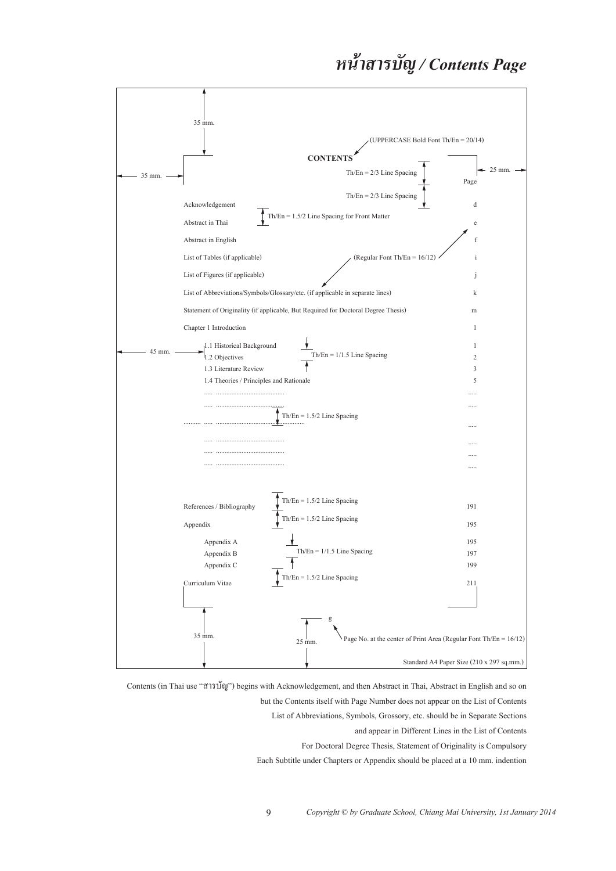#### *หน าสารบัญ / Contents Page ้*

![](_page_8_Figure_1.jpeg)

Contents (in Thai use "สารบัญ") begins with Acknowledgement, and then Abstract in Thai, Abstract in English and so on but the Contents itself with Page Number does not appear on the List of Contents List of Abbreviations, Symbols, Grossory, etc. should be in Separate Sections

and appear in Different Lines in the List of Contents

For Doctoral Degree Thesis, Statement of Originality is Compulsory

Each Subtitle under Chapters or Appendix should be placed at a 10 mm. indention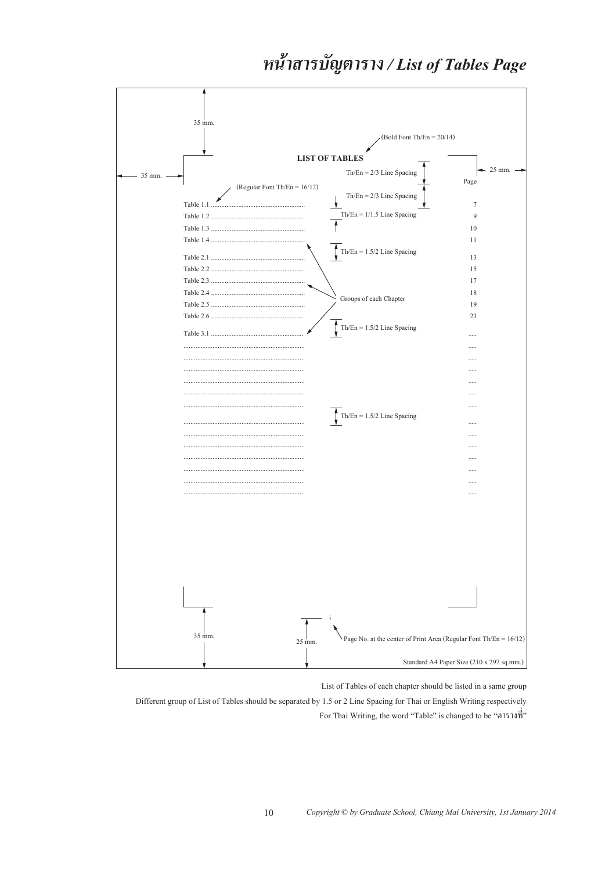# หน้าสารบัญตาราง / List of Tables Page

![](_page_9_Figure_1.jpeg)

List of Tables of each chapter should be listed in a same group

Different group of List of Tables should be separated by 1.5 or 2 Line Spacing for Thai or English Writing respectively For Thai Writing, the word "Table" is changed to be "ตารางที่"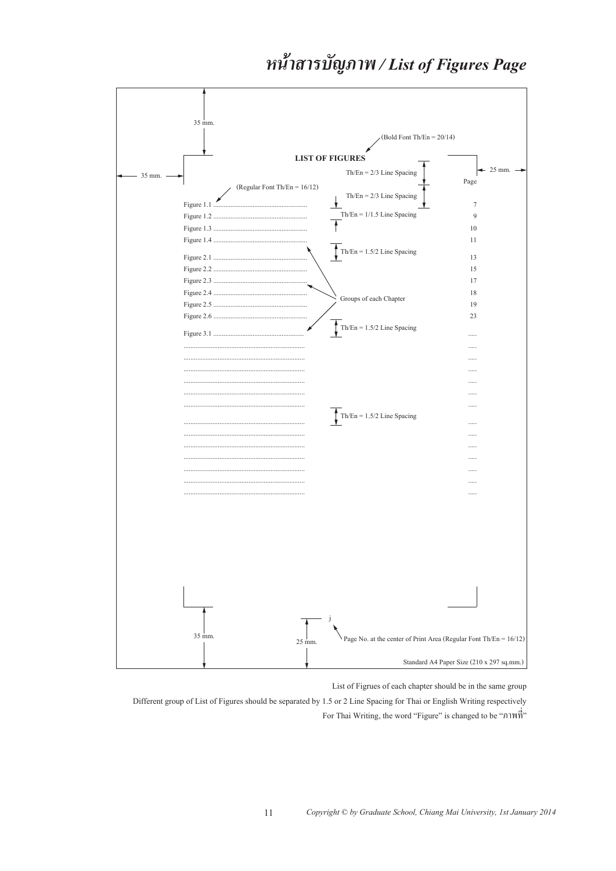## หน้าสารบัญภาพ / List of Figures Page

![](_page_10_Figure_1.jpeg)

List of Figrues of each chapter should be in the same group

Different group of List of Figures should be separated by 1.5 or 2 Line Spacing for Thai or English Writing respectively For Thai Writing, the word "Figure" is changed to be "ภาพที่"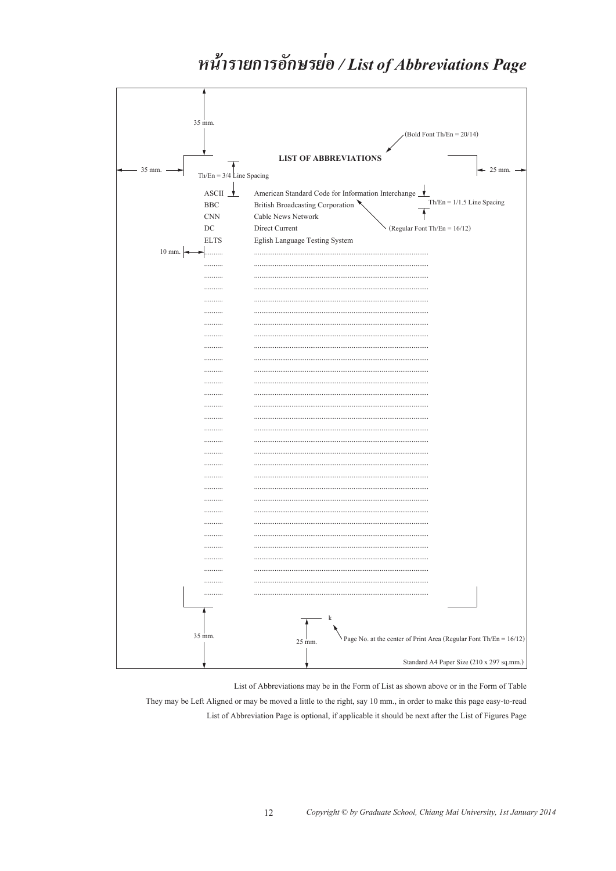# หน้ารายการอักษรย่อ / List of Abbreviations Page

![](_page_11_Figure_1.jpeg)

List of Abbreviations may be in the Form of List as shown above or in the Form of Table

They may be Left Aligned or may be moved a little to the right, say 10 mm., in order to make this page easy-to-read List of Abbreviation Page is optional, if applicable it should be next after the List of Figures Page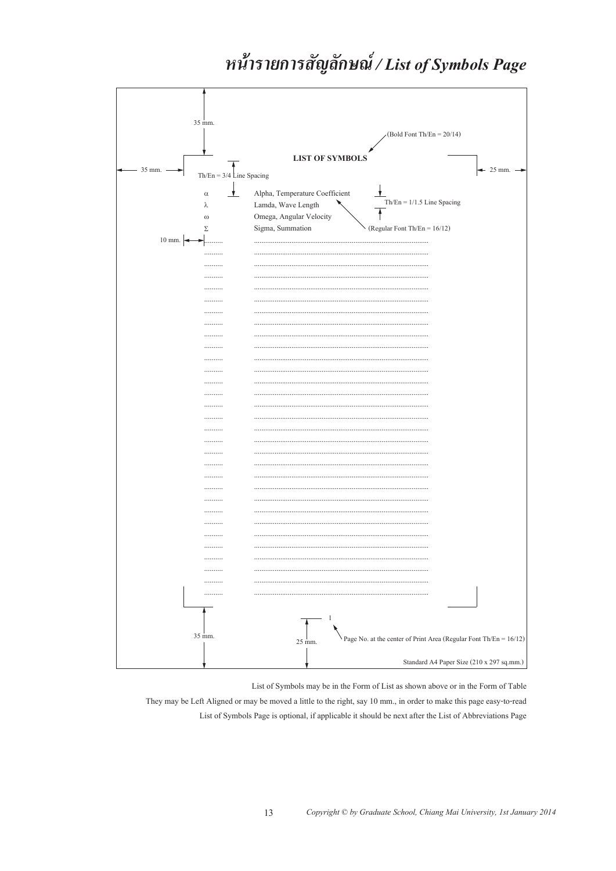# หน้ารายการสัญลักษณ์/List of Symbols Page

![](_page_12_Figure_1.jpeg)

List of Symbols may be in the Form of List as shown above or in the Form of Table

They may be Left Aligned or may be moved a little to the right, say 10 mm., in order to make this page easy-to-read List of Symbols Page is optional, if applicable it should be next after the List of Abbreviations Page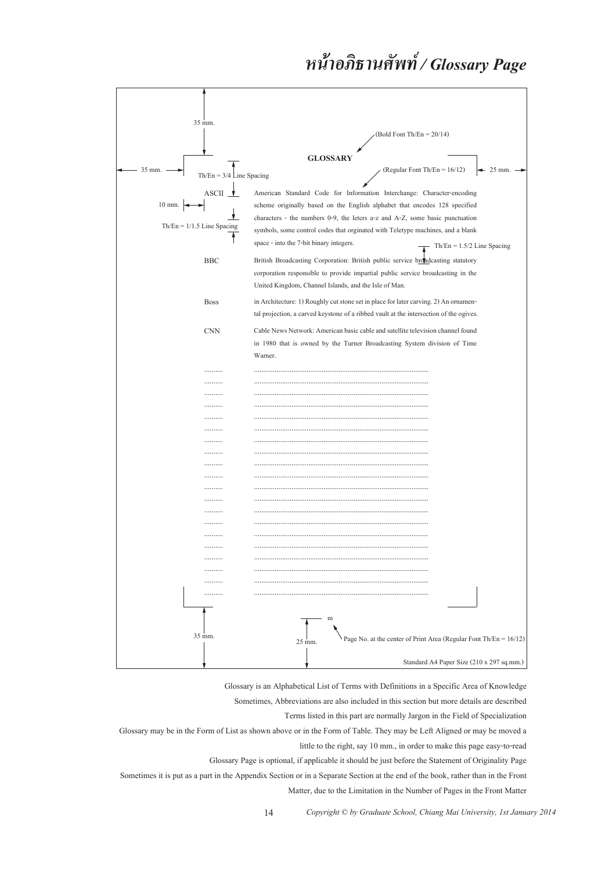#### *หน าอภ ธานศัพท / Glossary Page ้ ิ ์*

![](_page_13_Figure_1.jpeg)

Glossary is an Alphabetical List of Terms with Definitions in a Specific Area of Knowledge

Sometimes, Abbreviations are also included in this section but more details are described

Terms listed in this part are normally Jargon in the Field of Specialization

Glossary may be in the Form of List as shown above or in the Form of Table. They may be Left Aligned or may be moved a little to the right, say 10 mm., in order to make this page easy-to-read

Glossary Page is optional, if applicable it should be just before the Statement of Originality Page

Sometimes it is put as a part in the Appendix Section or in a Separate Section at the end of the book, rather than in the Front Matter, due to the Limitation in the Number of Pages in the Front Matter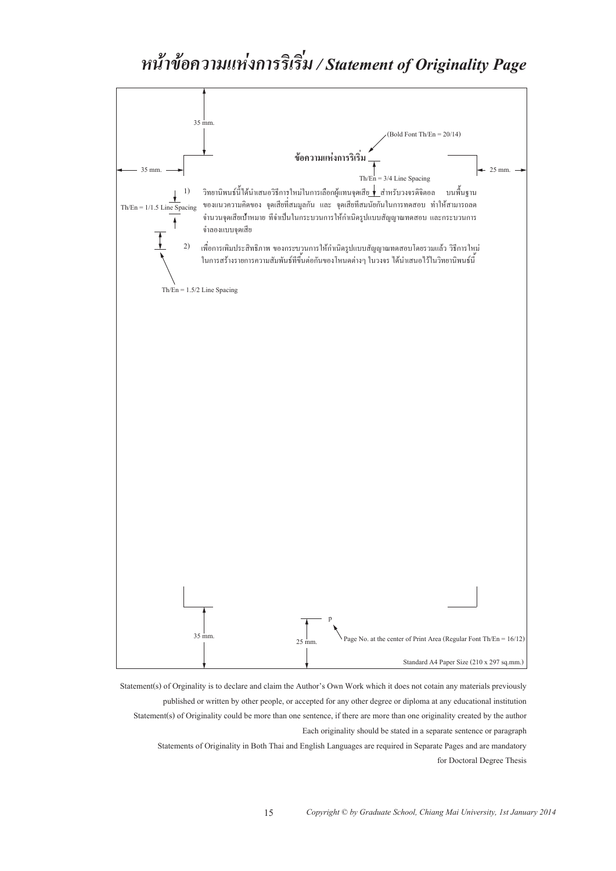#### *่ หน าข อความแห งการร เร ม / Statement of Originality Page ้ ้ ่ ิ ิ*

![](_page_14_Figure_1.jpeg)

Statement(s) of Orginality is to declare and claim the Author's Own Work which it does not cotain any materials previously published or written by other people, or accepted for any other degree or diploma at any educational institution Statement(s) of Originality could be more than one sentence, if there are more than one originality created by the author Each originality should be stated in a separate sentence or paragraph

15

Statements of Originality in Both Thai and English Languages are required in Separate Pages and are mandatory for Doctoral Degree Thesis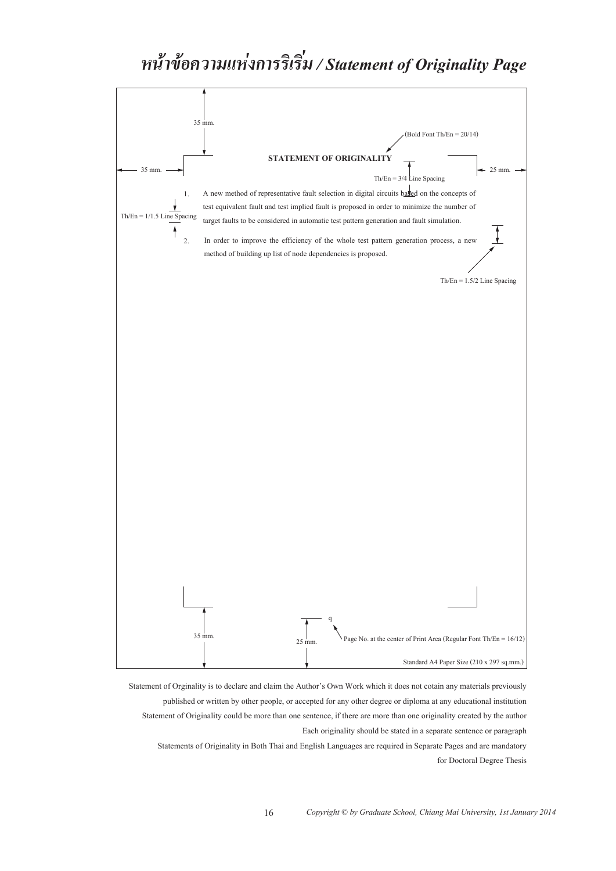#### *่ หน าข อความแห งการร เร ม / Statement of Originality Page ้ ้ ่ ิ ิ*

![](_page_15_Figure_1.jpeg)

Statement of Orginality is to declare and claim the Author's Own Work which it does not cotain any materials previously published or written by other people, or accepted for any other degree or diploma at any educational institution Statement of Originality could be more than one sentence, if there are more than one originality created by the author Each originality should be stated in a separate sentence or paragraph

Statements of Originality in Both Thai and English Languages are required in Separate Pages and are mandatory for Doctoral Degree Thesis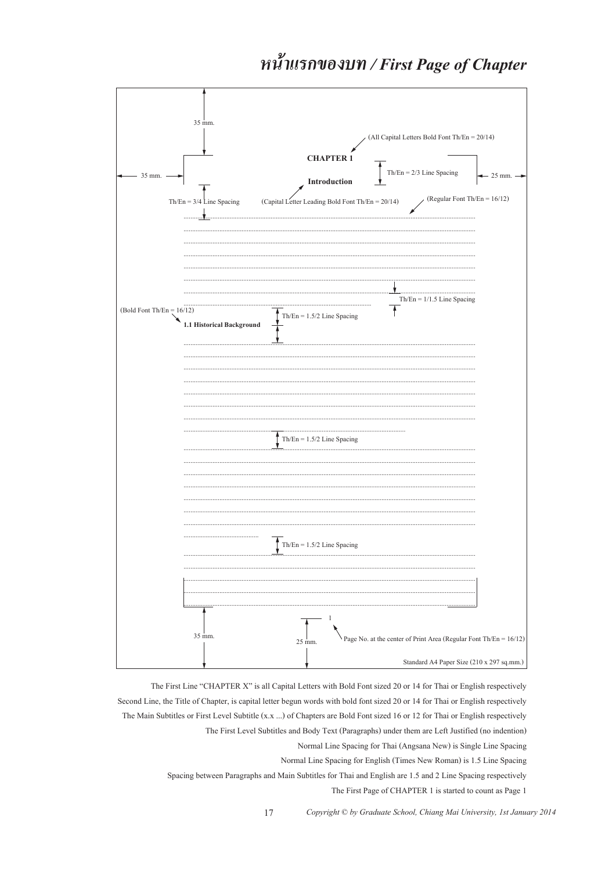# หน้าแรกของบท / First Page of Chapter

| 35 mm.<br>(All Capital Letters Bold Font Th/En = 20/14)                                                               |
|-----------------------------------------------------------------------------------------------------------------------|
| <b>CHAPTER 1</b>                                                                                                      |
| $Th/En = 2/3$ Line Spacing<br>35 mm.<br>$-25$ mm. $\rightarrow$<br>Introduction                                       |
| (Regular Font Th/En = 16/12)<br>(Capital Letter Leading Bold Font Th/En = $20/14$ )<br>$Th/En = 3/4$ Line Spacing<br> |
|                                                                                                                       |
|                                                                                                                       |
| <br>$Th/En = 1/1.5$ Line Spacing                                                                                      |
| (Bold Font Th/En = $16/12$ )<br>$Th/En = 1.5/2$ Line Spacing<br>1.1 Historical Background                             |
|                                                                                                                       |
|                                                                                                                       |
|                                                                                                                       |
| $Th/En = 1.5/2$ Line Spacing                                                                                          |
|                                                                                                                       |
|                                                                                                                       |
|                                                                                                                       |
| Th/En = $1.5/2$ Line Spacing                                                                                          |
|                                                                                                                       |
|                                                                                                                       |
| 1<br>35 mm.<br>Page No. at the center of Print Area (Regular Font Th/En = $16/12$ )<br>25 mm.                         |
| Standard A4 Paper Size (210 x 297 sq.mm.)                                                                             |

The First Line "CHAPTER X" is all Capital Letters with Bold Font sized 20 or 14 for Thai or English respectively Second Line, the Title of Chapter, is capital letter begun words with bold font sized 20 or 14 for Thai or English respectively The Main Subtitles or First Level Subtitle (x.x ...) of Chapters are Bold Font sized 16 or 12 for Thai or English respectively The First Level Subtitles and Body Text (Paragraphs) under them are Left Justified (no indention) Normal Line Spacing for Thai (Angsana New) is Single Line Spacing

Normal Line Spacing for English (Times New Roman) is 1.5 Line Spacing

Spacing between Paragraphs and Main Subtitles for Thai and English are 1.5 and 2 Line Spacing respectively

The First Page of CHAPTER 1 is started to count as Page 1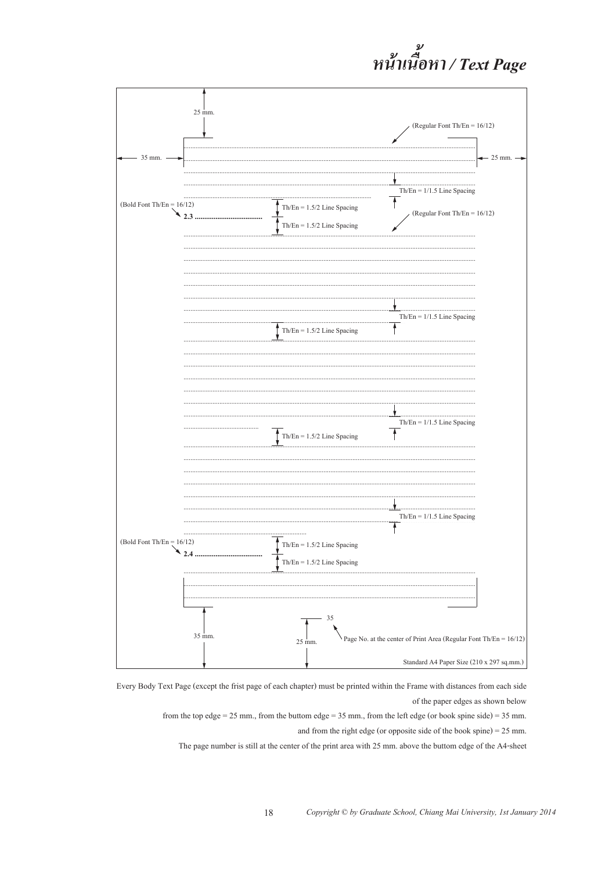# หน้าเนื้อหา / Text Page

![](_page_17_Figure_1.jpeg)

Every Body Text Page (except the frist page of each chapter) must be printed within the Frame with distances from each side of the paper edges as shown below

18

from the top edge = 25 mm., from the buttom edge = 35 mm., from the left edge (or book spine side) = 35 mm. and from the right edge (or opposite side of the book spine) =  $25$  mm.

The page number is still at the center of the print area with 25 mm, above the buttom edge of the A4-sheet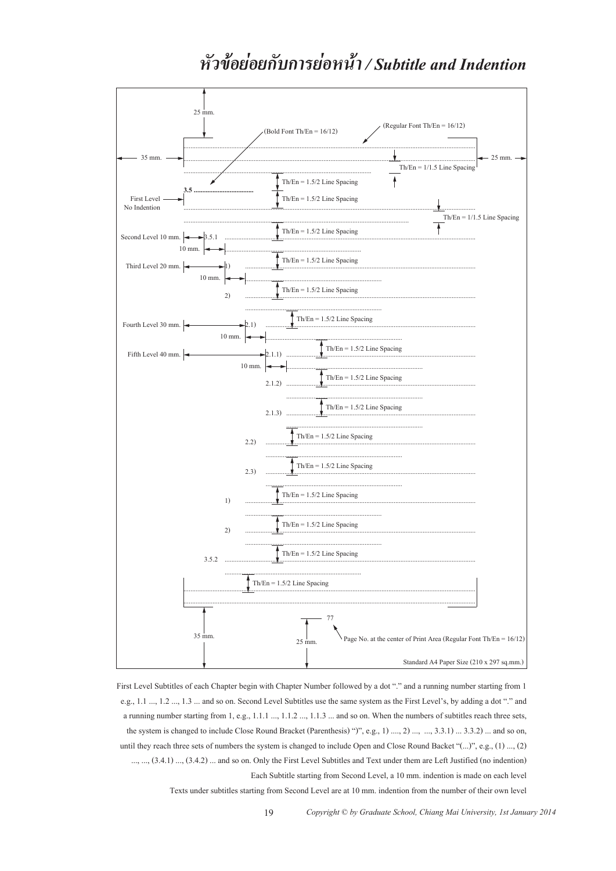## หัวข้อย่อยกับการย่อหน้า / Subtitle and Indention

![](_page_18_Figure_1.jpeg)

First Level Subtitles of each Chapter begin with Chapter Number followed by a dot "." and a running number starting from 1 e.g., 1.1 ..., 1.2 ..., 1.3 ... and so on. Second Level Subtitles use the same system as the First Level's, by adding a dot "." and a running number starting from 1, e.g., 1.1.1 ..., 1.1.2 ..., 1.1.3 ... and so on. When the numbers of subtitles reach three sets. the system is changed to include Close Round Bracket (Parenthesis) ")", e.g., 1) ...., 2) ..., ..., 3.3.1) ... 3.3.2) ... and so on, until they reach three sets of numbers the system is changed to include Open and Close Round Backet "(...)", e.g., (1) ..., (2) ..., ..., (3.4.1) ..., (3.4.2) ... and so on. Only the First Level Subtitles and Text under them are Left Justified (no indention) Each Subtitle starting from Second Level, a 10 mm. indention is made on each level

19

Texts under subtitles starting from Second Level are at 10 mm, indention from the number of their own level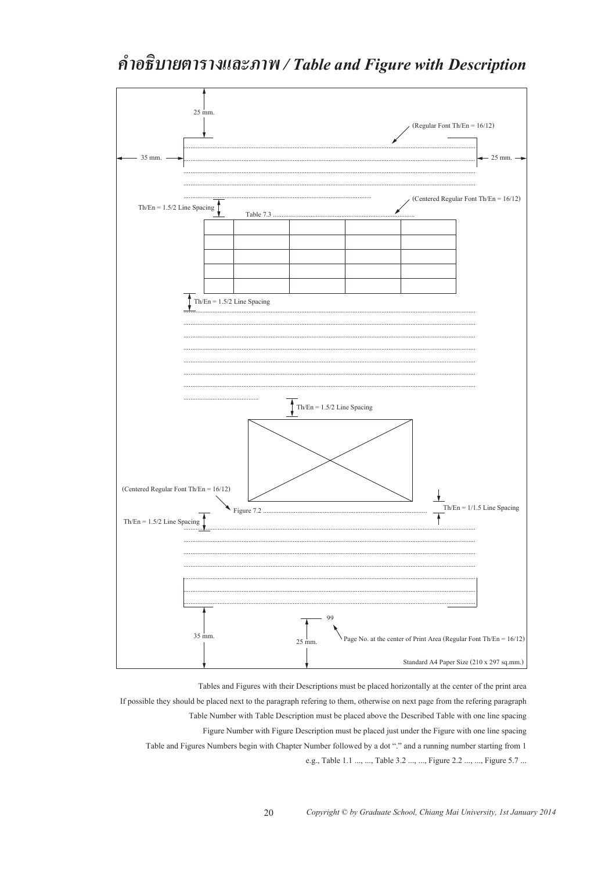# คำอธิบายตารางและภาพ / Table and Figure with Description

![](_page_19_Figure_1.jpeg)

Tables and Figures with their Descriptions must be placed horizontally at the center of the print area If possible they should be placed next to the paragraph refering to them, otherwise on next page from the refering paragraph Table Number with Table Description must be placed above the Described Table with one line spacing Figure Number with Figure Description must be placed just under the Figure with one line spacing Table and Figures Numbers begin with Chapter Number followed by a dot "." and a running number starting from 1 e.g., Table 1.1 ..., ..., Table 3.2 ..., ..., Figure 2.2 ..., ..., Figure 5.7 ...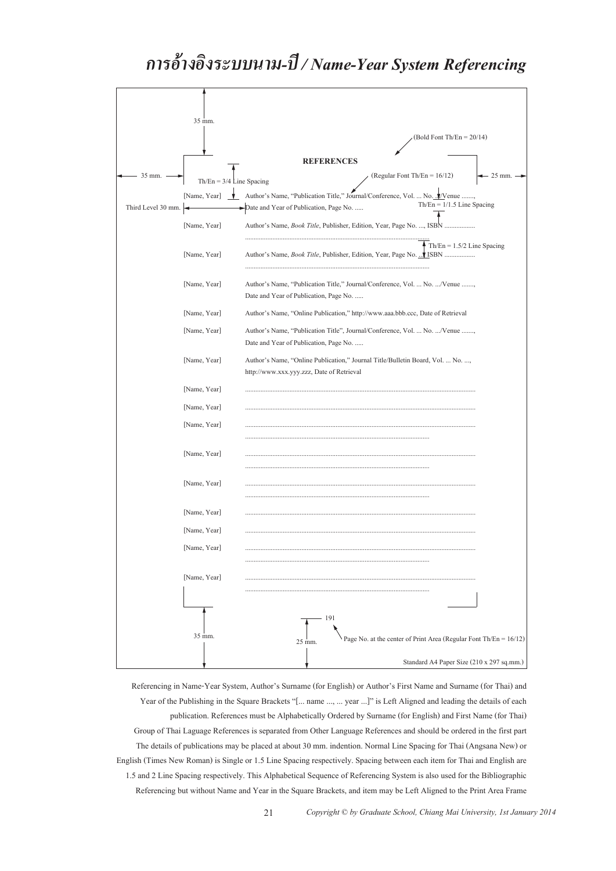#### *การอ างอ งระบบนาม-ปี / Name-Year System Referencing ้ ิ*

![](_page_20_Figure_1.jpeg)

Referencing in Name-Year System, Author's Surname (for English) or Author's First Name and Surname (for Thai) and Year of the Publishing in the Square Brackets "[... name ..., ... year ...]" is Left Aligned and leading the details of each publication. References must be Alphabetically Ordered by Surname (for English) and First Name (for Thai) Group of Thai Laguage References is separated from Other Language References and should be ordered in the first part The details of publications may be placed at about 30 mm. indention. Normal Line Spacing for Thai (Angsana New) or English (Times New Roman) is Single or 1.5 Line Spacing respectively. Spacing between each item for Thai and English are 1.5 and 2 Line Spacing respectively. This Alphabetical Sequence of Referencing System is also used for the Bibliographic Referencing but without Name and Year in the Square Brackets, and item may be Left Aligned to the Print Area Frame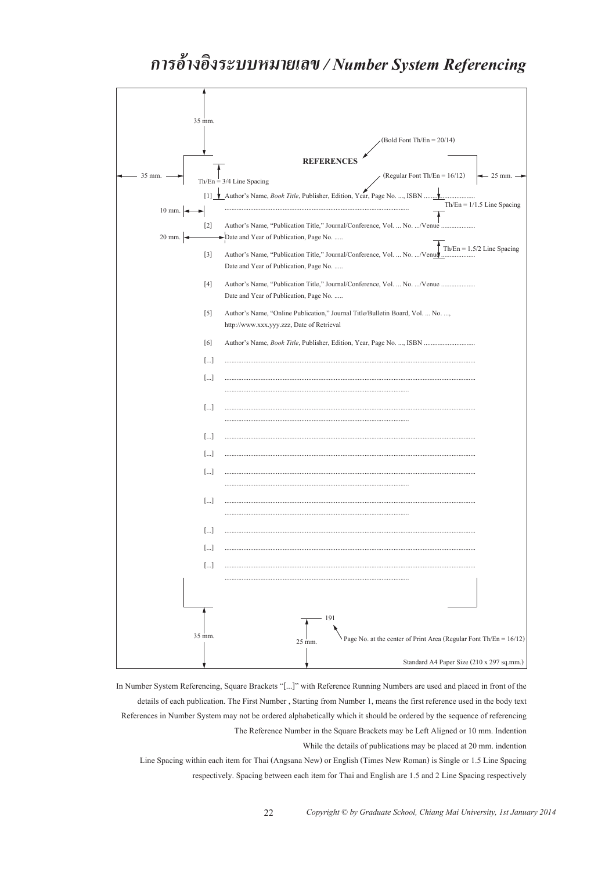#### *การอ างอ งระบบหมายเลข / Number System Referencing ้ ิ*

![](_page_21_Figure_1.jpeg)

In Number System Referencing, Square Brackets "[...]" with Reference Running Numbers are used and placed in front of the details of each publication. The First Number , Starting from Number 1, means the first reference used in the body text References in Number System may not be ordered alphabetically which it should be ordered by the sequence of referencing The Reference Number in the Square Brackets may be Left Aligned or 10 mm. Indention While the details of publications may be placed at 20 mm. indention Line Spacing within each item for Thai (Angsana New) or English (Times New Roman) is Single or 1.5 Line Spacing

respectively. Spacing between each item for Thai and English are 1.5 and 2 Line Spacing respectively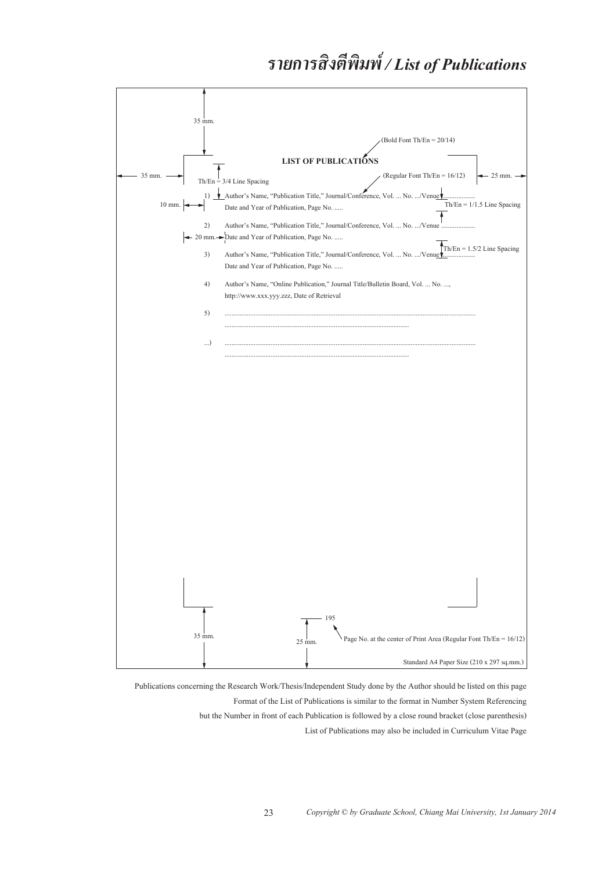#### *รายการส งต พ มพ / List of Publications ิ ี ิ ์*

![](_page_22_Figure_1.jpeg)

Publications concerning the Research Work/Thesis/Independent Study done by the Author should be listed on this page Format of the List of Publications is similar to the format in Number System Referencing but the Number in front of each Publication is followed by a close round bracket (close parenthesis) List of Publications may also be included in Curriculum Vitae Page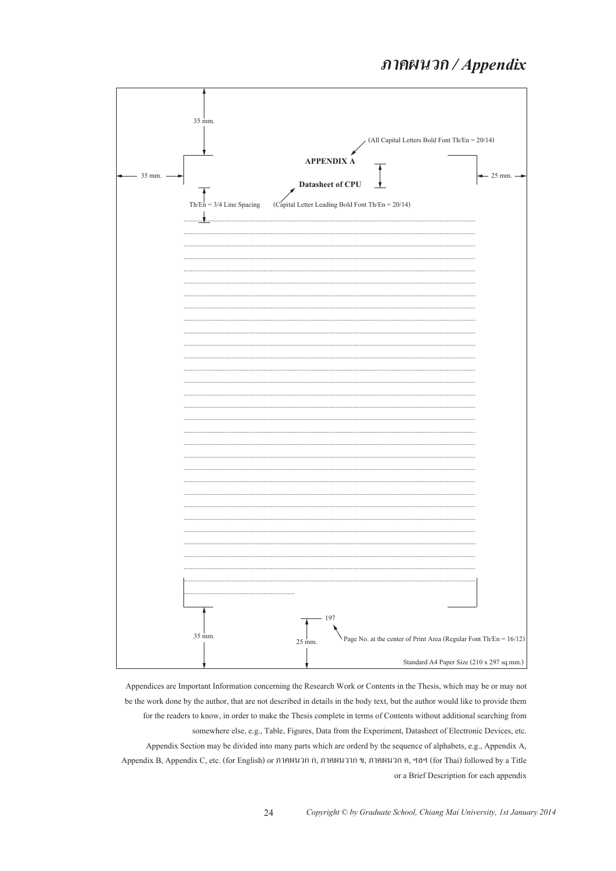### ภาคผนวก / Appendix

![](_page_23_Figure_1.jpeg)

Appendices are Important Information concerning the Research Work or Contents in the Thesis, which may be or may not be the work done by the author, that are not described in details in the body text, but the author would like to provide them for the readers to know, in order to make the Thesis complete in terms of Contents without additional searching from somewhere else, e.g., Table, Figures, Data from the Experiment, Datasheet of Electronic Devices, etc. Appendix Section may be divided into many parts which are orderd by the sequence of alphabets, e.g., Appendix A, Appendix B, Appendix C, etc. (for English) or ภาคผนวก ก, ภาคผนวาก ข, ภาคผนวก ค, ฯลฯ (for Thai) followed by a Title or a Brief Description for each appendix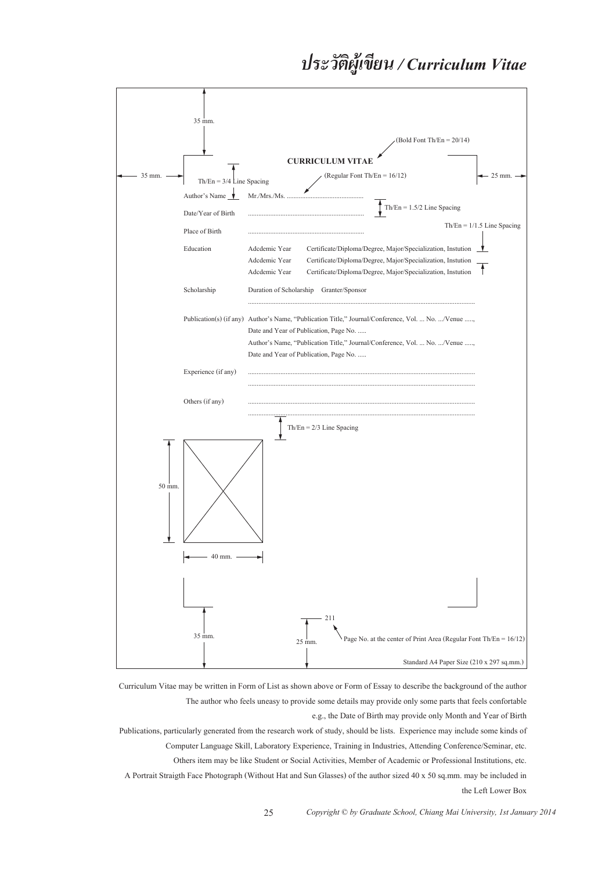#### *ประวัต ผู้ เข ยน / Curriculum Vitae ิ ี*

![](_page_24_Figure_1.jpeg)

Curriculum Vitae may be written in Form of List as shown above or Form of Essay to describe the background of the author The author who feels uneasy to provide some details may provide only some parts that feels confortable e.g., the Date of Birth may provide only Month and Year of Birth

Publications, particularly generated from the research work of study, should be lists. Experience may include some kinds of Computer Language Skill, Laboratory Experience, Training in Industries, Attending Conference/Seminar, etc. Others item may be like Student or Social Activities, Member of Academic or Professional Institutions, etc. A Portrait Straigth Face Photograph (Without Hat and Sun Glasses) of the author sized 40 x 50 sq.mm. may be included in the Left Lower Box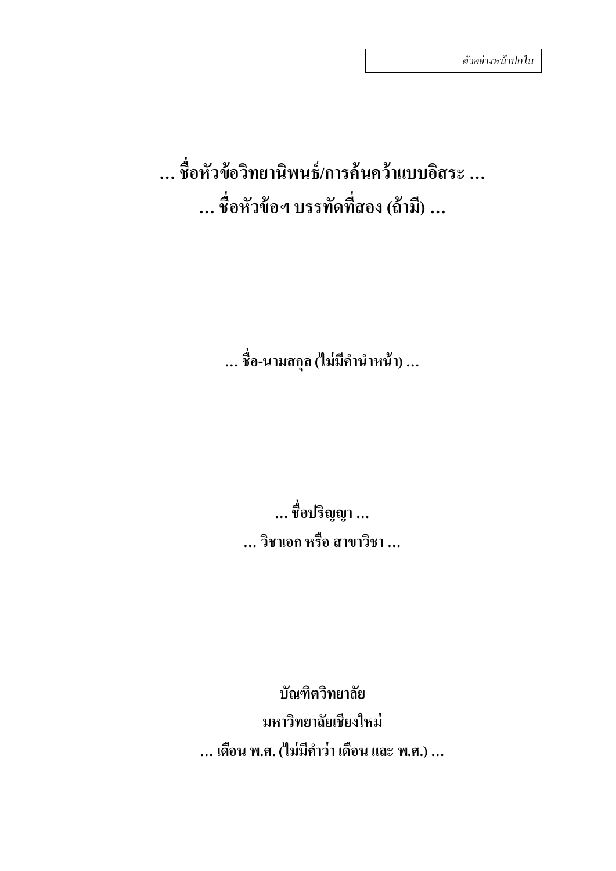**… ช ื่อหัวข อวทยาน ิ ิ พนธ /การค นคว าแบบอสระ ิ … ้ ์ ้ ้ … ช ื่อหัวข อฯ บรรทดทั สอง ี่ (ถ าม) … ี ้ ้**

> **… ช ื่อ-นามสกลุ (ไม่มค ีานํ ําหน า) … ้**

**… ช ื่อปริญญา … … วชาเอก ิ หร อ สาขาวชาิ … ื**

**บัณฑตวิ ทยาล ิ ยั มหาวทยาล ิ ยเช ั ียงใหม่ … เดอน พ.ศ. (ไม่มค ีาวํ ่า เดอน และ พ.ศ.) … ื ื**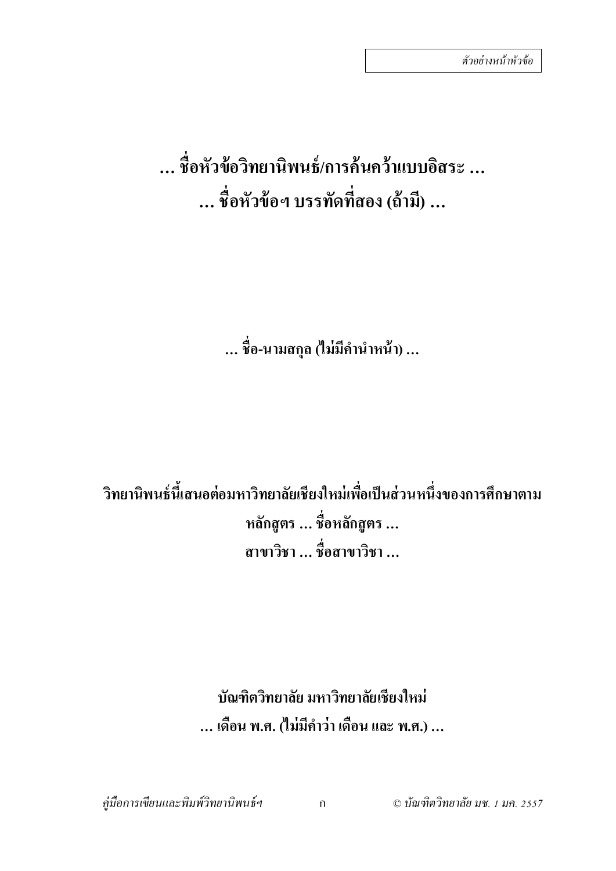# **… ชื่อหัวข้อวิทยานิพนธ์/การค้นคว้าแบบอิสระ … … ชื่อหัวข้อฯ บรรทัดที่สอง (ถ้ามี)…**

**… ชื่อ-นามสกล ุ (ไม่มีคํานําหน้า) …**

**วิทยานิพนธ์นี้เสนอต่อมหาวิทยาลัยเชียงใหม่เพื่อเป็ นส่วนหนึ่งของการศึกษาตาม หลักสูตร… ชื่อหลักสูตร … สาขาวิชา … ชื่อสาขาวิชา …**

> **บัณฑิตวิทยาลัย มหาวิทยาลัยเชียงใหม่ … เดือน พ.ศ. (ไม่มีคําว่า เดือน และ พ.ศ.) …**

*คู่มือการเขียนและพิมพ์วิทยานิพนธ์ฯ* ก © *บัณฑิตวิทยาลัย มช. 1 มค. 2557*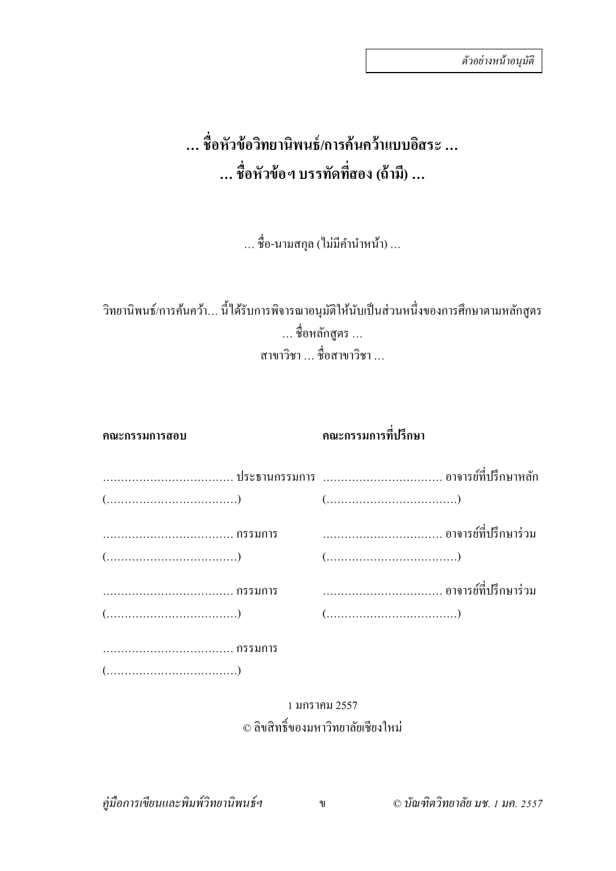#### **… ช ื่อหัวข อวทยาน ิ ิพนธ /การค นคว าแบบอสระ ิ … ้ ์ ้ ้ … ช ื่อหัวข อฯ บรรทดทั สอง ี่ (ถ าม) … ี ้ ้**

… ชื่อ-นามสกุล (ไม่มีคำนำหน้า) …

้วิทยานิพนธ์/การค้นคว้า... นี้ได้รับการพิจารณาอนุมัติให้นับเป็นส่วนหนึ่งของการศึกษาตามหลักสูตร … ชื่อหลักสูตร … สาขาวิชา … ชื่อสาขาวิชา …

**คณะกรรมการสอบ คณะกรรมการทปรี่ ึกษา**

|                                                                     | $(\dots,\dots,\dots,\dots,\dots,\dots)$ |
|---------------------------------------------------------------------|-----------------------------------------|
|                                                                     |                                         |
|                                                                     | $(\dots,\dots,\dots,\dots,\dots,\dots)$ |
|                                                                     |                                         |
|                                                                     | $(\dots,\dots,\dots,\dots,\dots,\dots)$ |
| กรรมการ                                                             |                                         |
| $(\ldots,\ldots,\ldots,\ldots,\ldots,\ldots,\ldots,\ldots,\ldots))$ |                                         |

### 1 มกราคม 2557 © ลิขสิทธิ์ของมหาวิทยาลัยเชียงใหม่

*คู่มือการเขียนและพิมพ์วิทยานิพนธ์ฯ* ข © *บัณฑิตวิทยาลยั มช. 1 มค. 2557*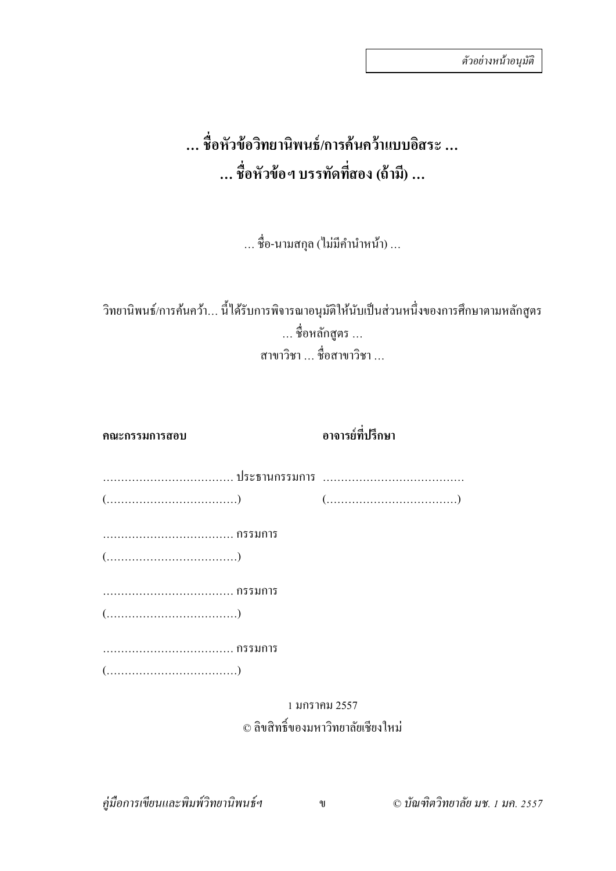#### **… ช ื่อหัวข อวทยาน ิ ิพนธ /การค นคว าแบบอสระ ิ … ้ ์ ้ ้ … ช ื่อหัวข อฯ บรรทดทั สอง ี่ (ถ าม) … ี ้ ้**

… ชื่อ-นามสกุล (ไม่มีคำนำหน้า) …

้วิทยานิพนธ์/การค้นคว้า... นี้ได้รับการพิจารณาอนุมัติให้นับเป็นส่วนหนึ่งของการศึกษาตามหลักสูตร … ชื่อหลักสูตร … สาขาวิชา … ชื่อสาขาวิชา …

| คณะกรรมการสอบ                                                               | อาจารย์ที่ปรึกษา |
|-----------------------------------------------------------------------------|------------------|
|                                                                             |                  |
| $(\ldots,\ldots,\ldots,\ldots,\ldots,\ldots,\ldots,\ldots))$                |                  |
|                                                                             |                  |
| $(\ldots, \ldots, \ldots, \ldots, \ldots, \ldots, \ldots, \ldots, \ldots))$ |                  |
| กรรมการ                                                                     |                  |
| $(\ldots, \ldots, \ldots, \ldots, \ldots, \ldots, \ldots, \ldots, \ldots))$ |                  |
|                                                                             |                  |
|                                                                             |                  |
|                                                                             | ่ 1 บคราดบ 2557  |

### 1 มกราคม 2557 © ลิขสิทธิ์ของมหาวิทยาลัยเชียงใหม่

*คู่มือการเขียนและพิมพ์วิทยานิพนธ์ฯ* ข © *บัณฑิตวิทยาลยั มช. 1 มค. 2557*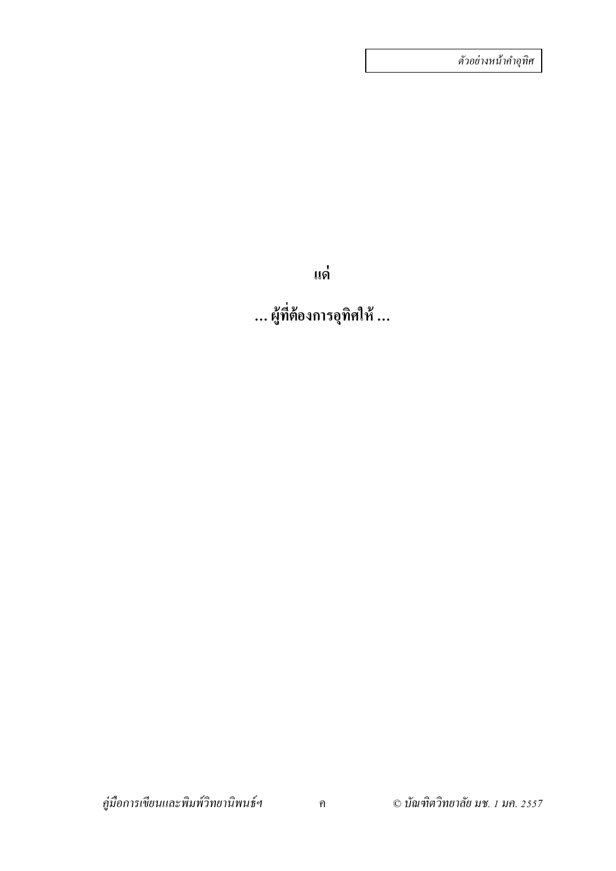*ตัวอย่างหน้าคําอุทิศ*

**แด่**

**… ผ้ที่ต้องการอ ู ุทิศให้ …**

*คู่มือการเขียนและพิมพ์วิทยานิพนธ์ฯ* ค © *บัณฑิตวิทยาลัย มช. 1 มค. 2557*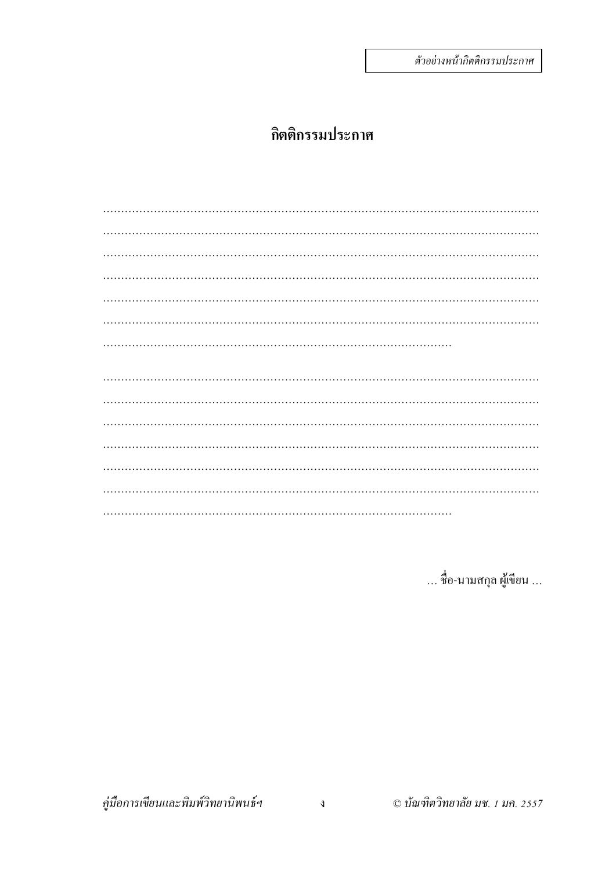### กิตติกรรมประกาศ

... ชื่อ-นามสกุล ผู้เขียน ...

คู่มือการเขียนและพิมพ์วิทยานิพนธ์ฯ

© บัณฑิตวิทยาลัย มช. 1 มค. 2557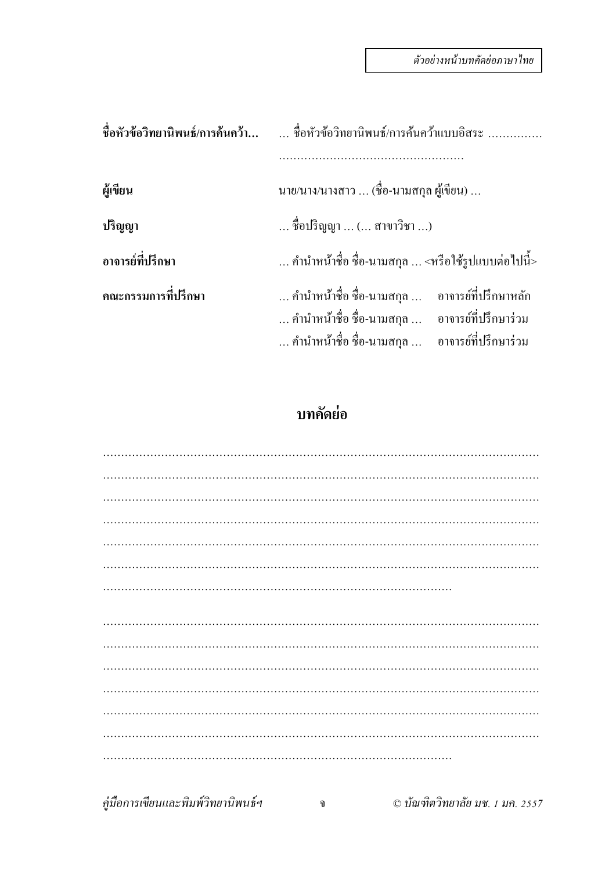|                     | ชื่อหัวข้อวิทยานิพนธ์/การค้นคว้า  ชื่อหัวข้อวิทยานิพนธ์/การค้นคว้าแบบอิสระ                                                                                        |
|---------------------|-------------------------------------------------------------------------------------------------------------------------------------------------------------------|
|                     |                                                                                                                                                                   |
| ผู้เขียน            | นาย/นาง/นางสาว  (ชื่อ-นามสกุล ผู้เขียน)                                                                                                                           |
| ปริญญา              | ชื่อปริญญา  ( สาขาวิชา )                                                                                                                                          |
| อาจารย์ที่ปรึกษา    | คำนำหน้าชื่อ ชื่อ-นามสกุล  <หรือใช้รูปแบบต่อไปนี้>                                                                                                                |
| คณะกรรมการที่ปรึกษา | คำนำหน้าชื่อ ชื่อ-นามสกุล      อาจารย์ที่ปรึกษาหลัก<br>คำนำหน้าชื่อ ชื่อ-นามสกุล      อาจารย์ที่ปรึกษาร่วม<br>คำนำหน้าชื่อ ชื่อ-นามสกุล      อาจารย์ที่ปรึกษาร่วม |

### **บทคดยั ่อ**

*คู่มือการเขียนและพิมพ์วิทยานิพนธ์ฯ* จ © *บัณฑิตวิทยาลยั มช. 1 มค. 2557*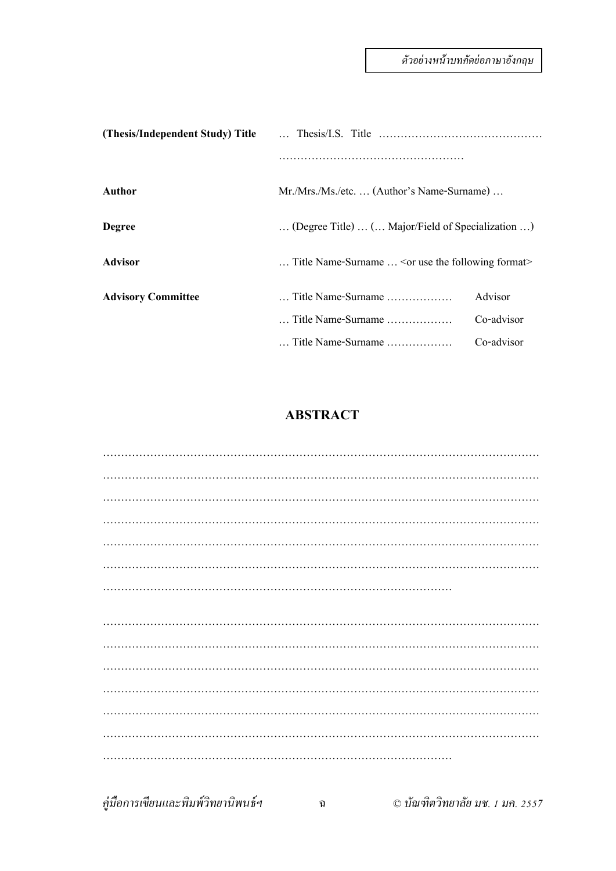| (Thesis/Independent Study) Title |                                                                |            |
|----------------------------------|----------------------------------------------------------------|------------|
|                                  |                                                                |            |
| Author                           | Mr./Mrs./Ms./etc (Author's Name-Surname)                       |            |
| <b>Degree</b>                    | (Degree Title)  ( Major/Field of Specialization )              |            |
| Advisor                          | Title Name-Surname $\ldots$ $\leq$ or use the following format |            |
| <b>Advisory Committee</b>        | Title Name-Surname                                             | Advisor    |
|                                  | $\ldots$ Title Name-Surname $\ldots$                           | Co-advisor |
|                                  | Title Name-Surname                                             | Co-advisor |

#### **ABSTRACT**

*คู่มือการเขียนและพิมพ์วิทยานิพนธ์ฯ* ฉ © *บัณฑิตวิทยาลยั มช. 1 มค. 2557*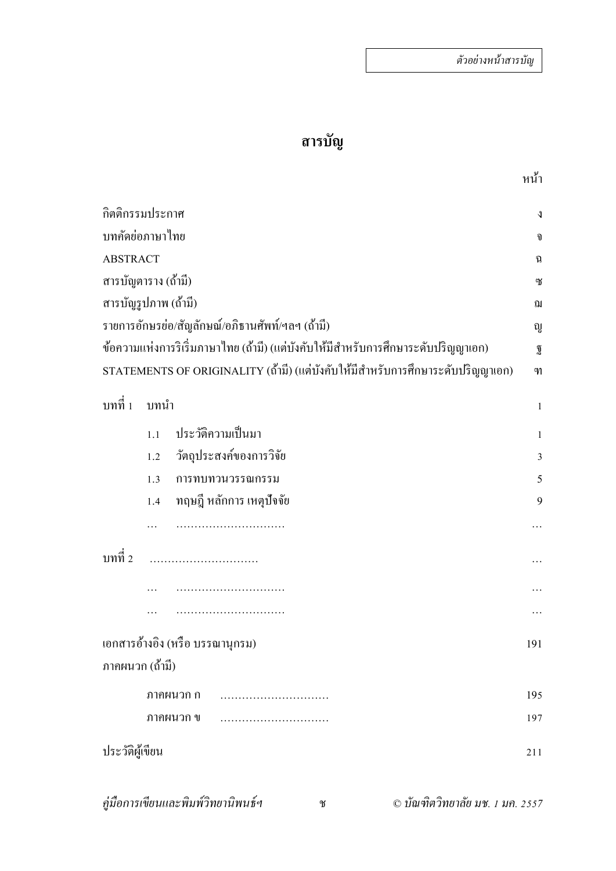# **สารบัญ**

| กิตติกรรมประกาศ      |      |                                                                                   | J              |
|----------------------|------|-----------------------------------------------------------------------------------|----------------|
| บทคัดย่อภาษาไทย      |      |                                                                                   | จ              |
| <b>ABSTRACT</b>      |      |                                                                                   | นิ             |
| สารบัญตาราง (ถ้ำมี)  |      |                                                                                   | ្រ             |
| สารบัญรูปภาพ (ถ้ามี) |      |                                                                                   | ณ              |
|                      |      | รายการอักษรย่อ/สัญลักษณ์/อภิธานศัพท์/ฯลฯ (ถ้ามี)                                  | ญู             |
|                      |      | ข้อความแห่งการริเริ่มภาษาไทย (ถ้ามี) (แต่บังคับให้มีสำหรับการศึกษาระดับปริญญาเอก) | ฏิ             |
|                      |      | STATEMENTS OF ORIGINALITY (ถ้ามี) (แต่บังคับให้มีสำหรับการศึกษาระดับปริญญาเอก)    | M              |
| บทที่ 1              | บทนำ |                                                                                   | $\mathbf{1}$   |
|                      | 1.1  | ประวัติความเป็นมา                                                                 | $\mathbf{1}$   |
|                      | 1.2  | วัตถุประสงค์ของการวิจัย                                                           | $\overline{3}$ |
|                      | 1.3  | การทบทวนวรรณกรรม                                                                  | 5              |
|                      | 1.4  | ทฤษฎี หลักการ เหตุปัจจัย                                                          | 9              |
|                      |      |                                                                                   |                |
| บทที่ 2              |      |                                                                                   |                |
|                      |      |                                                                                   |                |
|                      |      |                                                                                   |                |
|                      |      | เอกสารอ้างอิง (หรือ บรรณานุกรม)                                                   | 191            |
| ภาคผนวก (ถ้ำมี)      |      |                                                                                   |                |
|                      |      | ภาคผนวก ก                                                                         | 195            |
|                      |      | ภาคผนวก ข                                                                         | 197            |
| ประวัติผู้เขียน      |      |                                                                                   | 211            |
|                      |      |                                                                                   |                |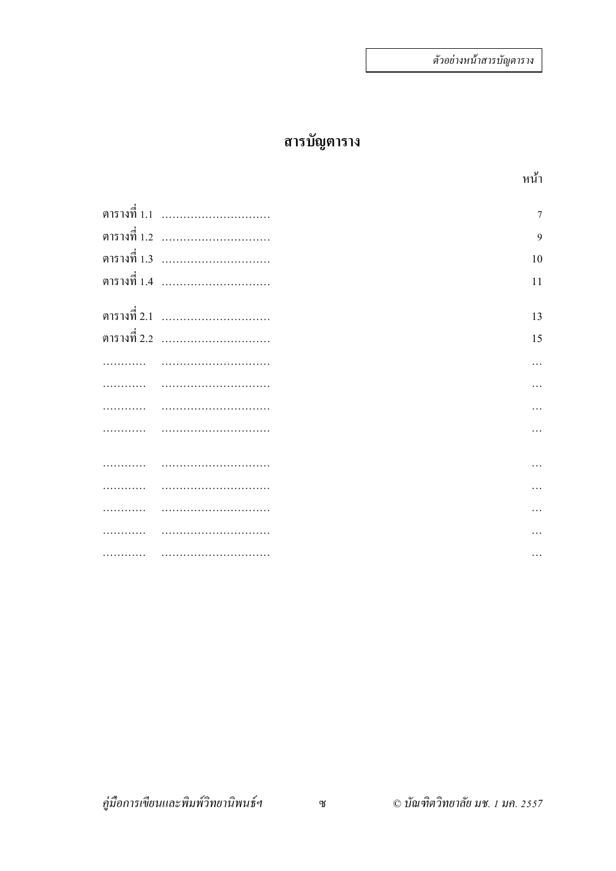## **สารบัญตาราง**

| ตารางที่ 1.1 ………………………… | $\overline{7}$ |
|-------------------------|----------------|
| ตารางที่ 1.2 ………………………… | 9              |
| ตารางที่ 1.3 ………………………… | 10             |
| ตารางที่ 1.4 ………………………… | 11             |
|                         |                |
| ตารางที่ 2.1 ………………………… | 13             |
| ตารางที่ 2.2 ………………………… | 15             |
|                         |                |
|                         |                |
|                         |                |
|                         |                |
|                         |                |
|                         |                |
|                         |                |
|                         |                |
|                         |                |
|                         |                |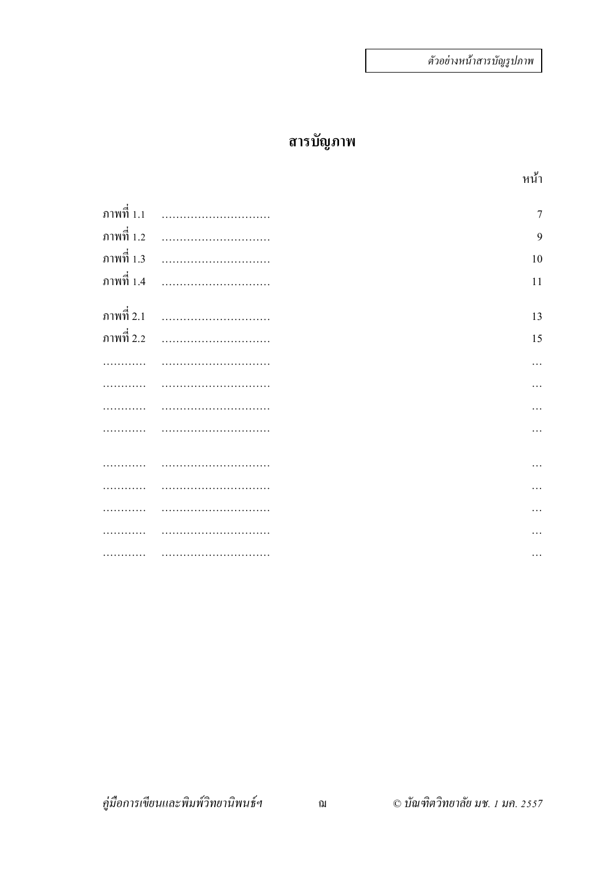# **สารบัญภาพ**

| ภาพที่ 1.1 |   | $\overline{7}$ |
|------------|---|----------------|
| ภาพที่ 1.2 |   | 9              |
| ภาพที่ 1.3 | . | 10             |
| ภาพที่ 1.4 |   | 11             |
|            |   |                |
| ภาพที่ 2.1 |   | 13             |
| ภาพที่ 2.2 |   | 15             |
|            |   | .              |
|            |   |                |
|            |   | .              |
|            |   | $\cdots$       |
|            |   |                |
|            |   | $\cdots$       |
|            |   | .              |
|            |   |                |
|            |   |                |
|            |   | .              |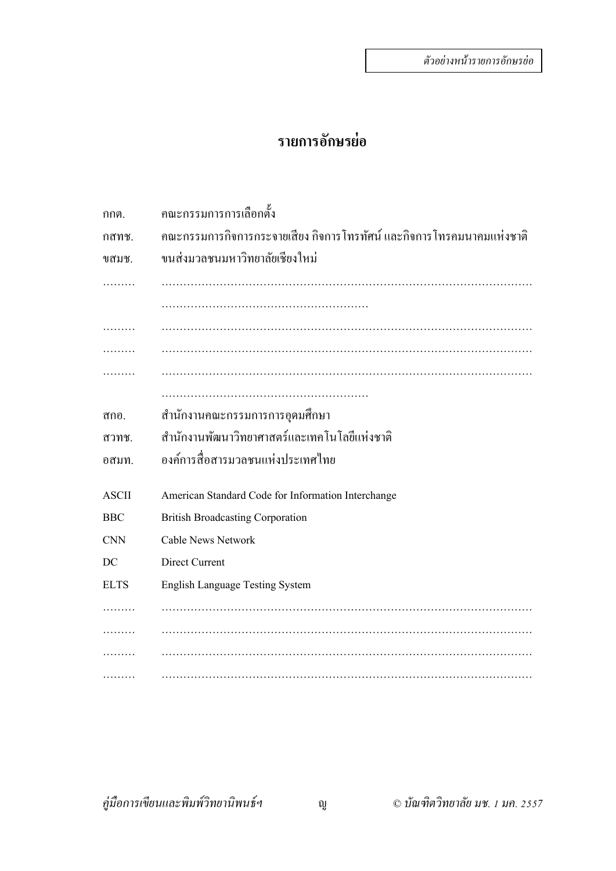### **รายการอักษรย่อ**

| กกต.         | คณะกรรมการการเลือกตั้ง                                                |
|--------------|-----------------------------------------------------------------------|
| กสทช.        | คณะกรรมการกิจการกระจายเสียง กิจการโทรทัศน์ และกิจการโทรคมนาคมแห่งชาติ |
| ขสมช.        | ขนส่งมวลชนมหาวิทยาลัยเชียงใหม่                                        |
|              |                                                                       |
|              |                                                                       |
|              |                                                                       |
|              |                                                                       |
|              |                                                                       |
|              |                                                                       |
| ิสกอ.        | ี สำนักงานคณะกรรมการการอุดมศึกษา                                      |
| สวทช.        | สำนักงานพัฒนาวิทยาศาสตร์และเทคโนโลยีแห่งชาติ                          |
| อสมท.        | องค์การสื่อสารมวลชนแห่งประเทศไทย                                      |
| <b>ASCII</b> | American Standard Code for Information Interchange                    |
| <b>BBC</b>   | <b>British Broadcasting Corporation</b>                               |
| <b>CNN</b>   | <b>Cable News Network</b>                                             |
| DC           | Direct Current                                                        |
| <b>ELTS</b>  | <b>English Language Testing System</b>                                |
|              |                                                                       |
|              |                                                                       |
|              |                                                                       |
|              |                                                                       |

*คู่มือการเขียนและพิมพ์วิทยานิพนธ์ฯ* ญ © *บัณฑิตวิทยาลัย มช. 1 มค. 2557*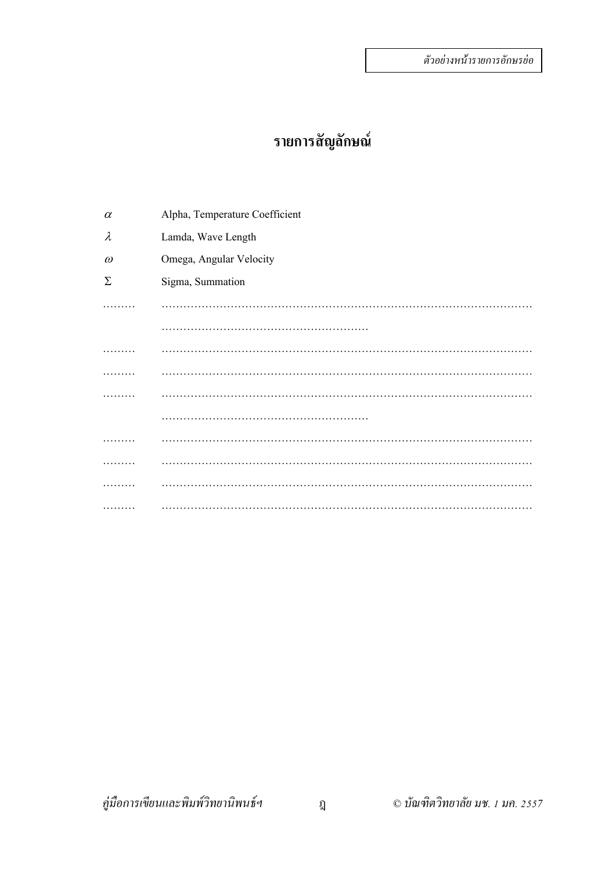### **รายการสัญลักษณ์**

 $\alpha$  Alpha, Temperature Coefficient <sup>λ</sup> Lamda, Wave Length <sup>ω</sup> Omega, Angular Velocity Σ Sigma, Summation ……… ………………………………………………………………………………………… ………………………………………………… ……… ………………………………………………………………………………………… ……… ………………………………………………………………………………………… ……… ………………………………………………………………………………………… ……………………………………………………… ……… ………………………………………………………………………………………… ……… ………………………………………………………………………………………… ……… ………………………………………………………………………………………… ……… …………………………………………………………………………………………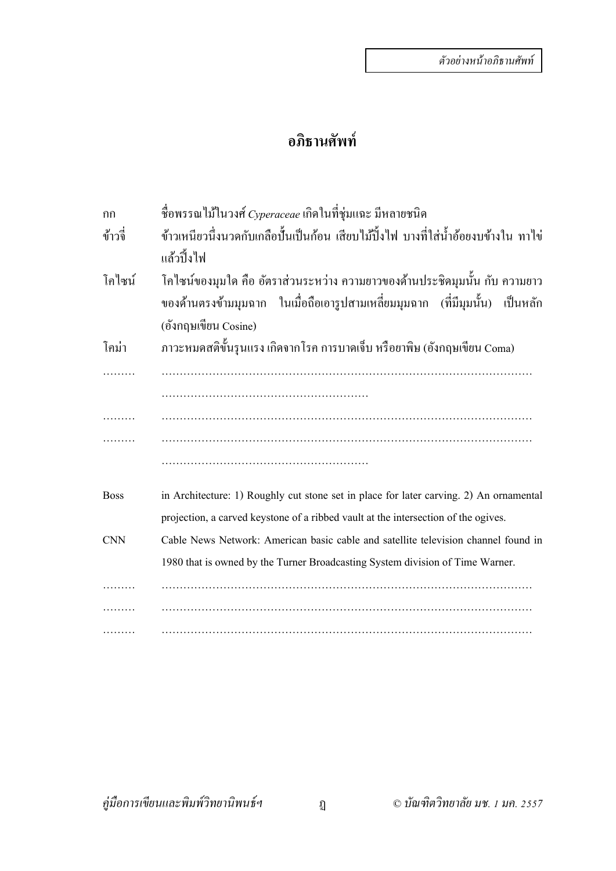### **อภิธานศัพท์**

| กก          | ชื่อพรรณไม้ในวงศ์ Cyperaceae เกิดในที่ชุ่มแฉะ มีหลายชนิด                               |
|-------------|----------------------------------------------------------------------------------------|
| ข้าวจี๋     | ข้าวเหนียวนี้งนวดกับเกลือปั้นเป็นก้อน เสียบไม้ปิ้งไฟ บางที่ใส่น้ำอ้อยงบข้างใน ทาไข่    |
|             | แล้วปิ้งไฟ                                                                             |
| โคไซน์      | โคใซน์ของมุมใด กือ อัตราส่วนระหว่าง ความยาวของด้านประชิดมุมนั้น กับ ความยาว            |
|             | ของค้านตรงข้ามมุมฉาก ในเมื่อถือเอารูปสามเหลี่ยมมุมฉาก (ที่มีมุมนั้น) เป็นหลัก          |
|             | (อังกฤษเขียน Cosine)                                                                   |
| โคม่า       | ภาวะหมดสติขั้นรุนแรง เกิดจากโรค การบาดเจ็บ หรือยาพิษ (อังกฤษเขียน Coma)                |
|             |                                                                                        |
|             |                                                                                        |
|             |                                                                                        |
|             |                                                                                        |
|             |                                                                                        |
| <b>Boss</b> | in Architecture: 1) Roughly cut stone set in place for later carving. 2) An ornamental |
|             | projection, a carved keystone of a ribbed vault at the intersection of the ogives.     |
| <b>CNN</b>  | Cable News Network: American basic cable and satellite television channel found in     |
|             | 1980 that is owned by the Turner Broadcasting System division of Time Warner.          |
|             |                                                                                        |
|             |                                                                                        |
|             |                                                                                        |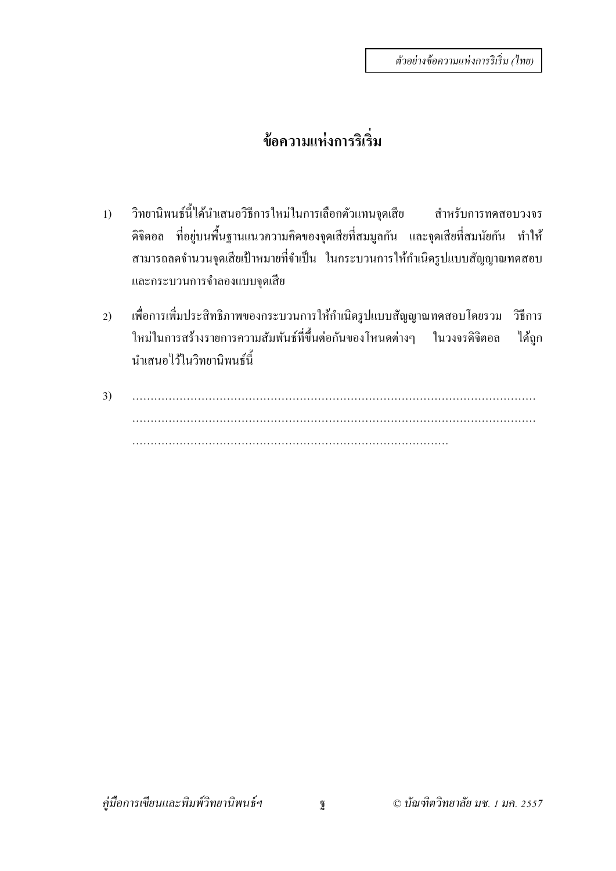# **ข้อความแห่งการริเริ่ม**

- 1) วิทยานิพนธ์นี้ได้นำเสนอวิธีการใหม่ในการเลือกตัวแทนจุดเสีย สำหรับการทดสอบวงจร ดิจิตอล ที่อยู่บนพื้นฐานแนวความคิดของจุดเสียที่สมมูลกัน และจุดเสียที่สมนัยกัน ทำให้ ี สามารถลดจำนวนจุดเสียเป้าหมายที่จำเป็น ในกระบวนการให้กำเนิดรูปแบบสัญญาณทดสอบ และกระบวนการจําลองแบบจุดเสีย
- 2) เพื่อการเพิ่มประสิทธิภาพของกระบวนการให้กำเนิดรูปแบบสัญญาณทดสอบโดยรวม วิธีการ ่ ใหม่ในการสร้างรายการความสัมพันธ์ที่ขึ้นต่อกันของโหนดต่างๆ ในวงจรดิจิตอล ได้ถูก นําเสนอไว้ในวิทยานิพนธ์นี้
- 3) ………………………………………………………………………………………………… ………………………………………………………………………………………………… ……………………………………………………………………………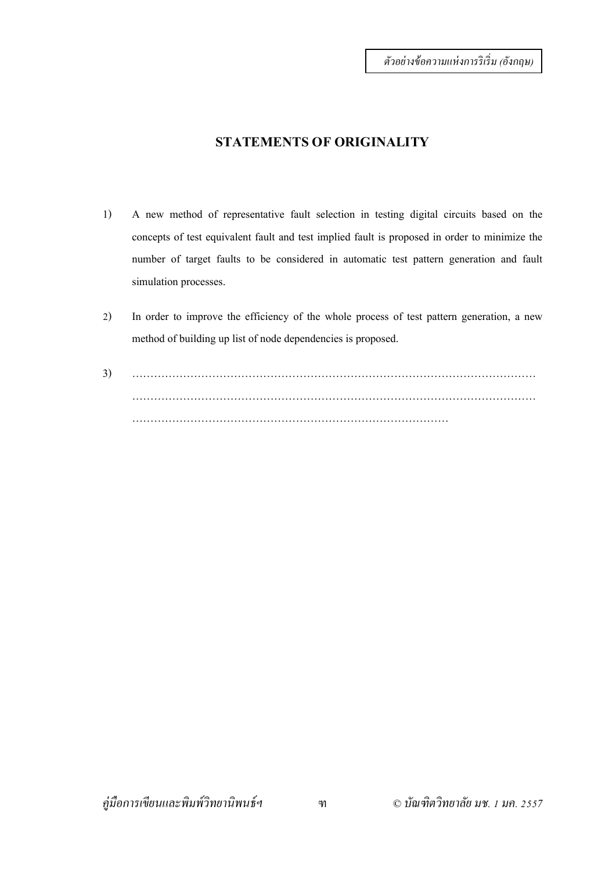#### **STATEMENTS OF ORIGINALITY**

- 1) A new method of representative fault selection in testing digital circuits based on the concepts of test equivalent fault and test implied fault is proposed in order to minimize the number of target faults to be considered in automatic test pattern generation and fault simulation processes.
- 2) In order to improve the efficiency of the whole process of test pattern generation, a new method of building up list of node dependencies is proposed.
- 3) ………………………………………………………………………………………………… ………………………………………………………………………………………………… ……………………………………………………………………………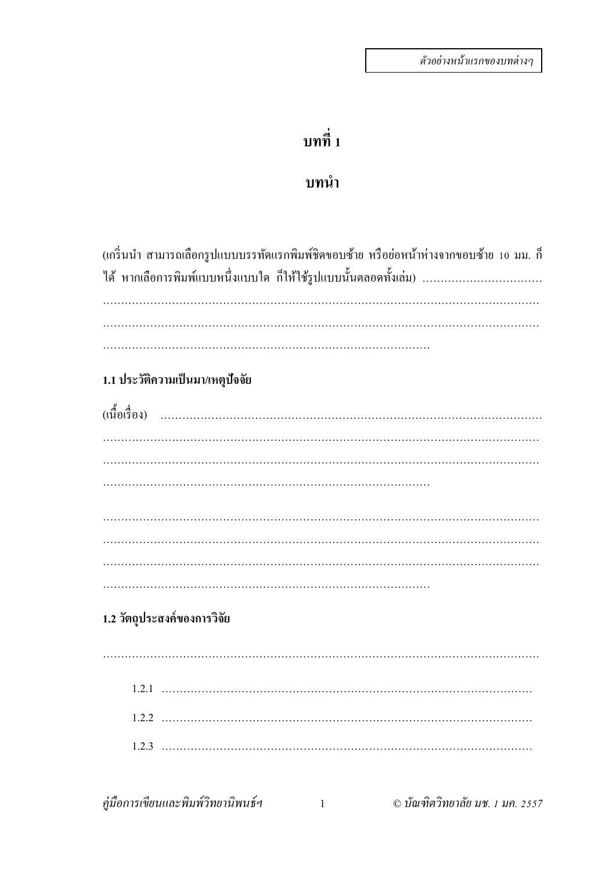# บทที่ 1

### บทนำ

| (เกริ่นนำ สามารถเลือกรูปแบบบรรทัดแรกพิมพ์ชิดขอบซ้าย หรือย่อหน้าห่างจากขอบซ้าย 10 มม. ก็<br>ใด้ หากเลือการพิมพ์แบบหนึ่งแบบใด ก็ให้ใช้รูปแบบนั้นตลอดทั้งเล่ม) |
|-------------------------------------------------------------------------------------------------------------------------------------------------------------|
|                                                                                                                                                             |
| 1.1 ประวัติความเป็นมา/เหตุปัจจัย                                                                                                                            |
|                                                                                                                                                             |
|                                                                                                                                                             |
|                                                                                                                                                             |
|                                                                                                                                                             |
|                                                                                                                                                             |
|                                                                                                                                                             |
|                                                                                                                                                             |
|                                                                                                                                                             |
| 1.2 วัตถุประสงค์ของการวิจัย                                                                                                                                 |
|                                                                                                                                                             |
|                                                                                                                                                             |
|                                                                                                                                                             |
|                                                                                                                                                             |
|                                                                                                                                                             |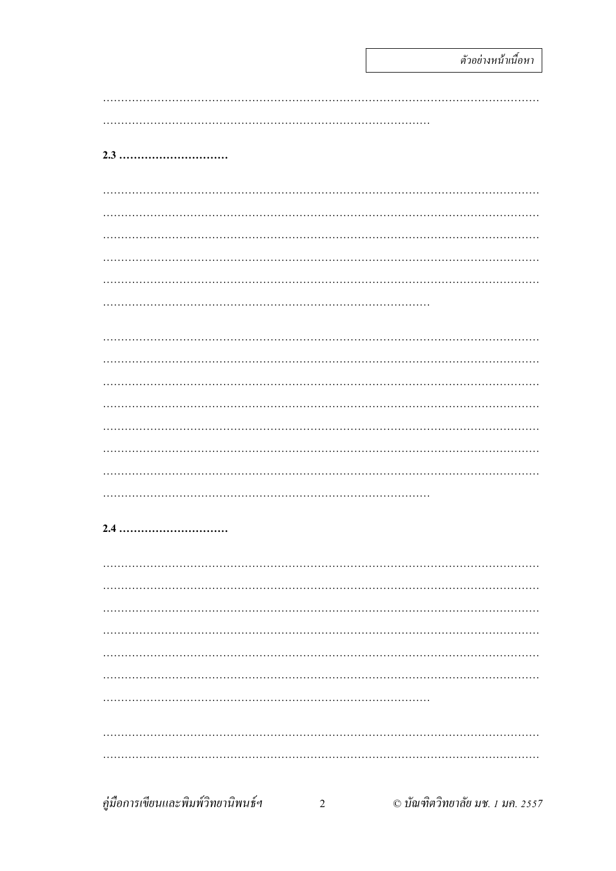#### 2.3 ................................

#### 2.4 ................................

| คู่มือการเขียนและพิมพ์วิทยานิพนธ์ฯ | $\mathfrak{D}$ | © บัณฑิตวิทยาลัย มช. 1 มค. 2557 |
|------------------------------------|----------------|---------------------------------|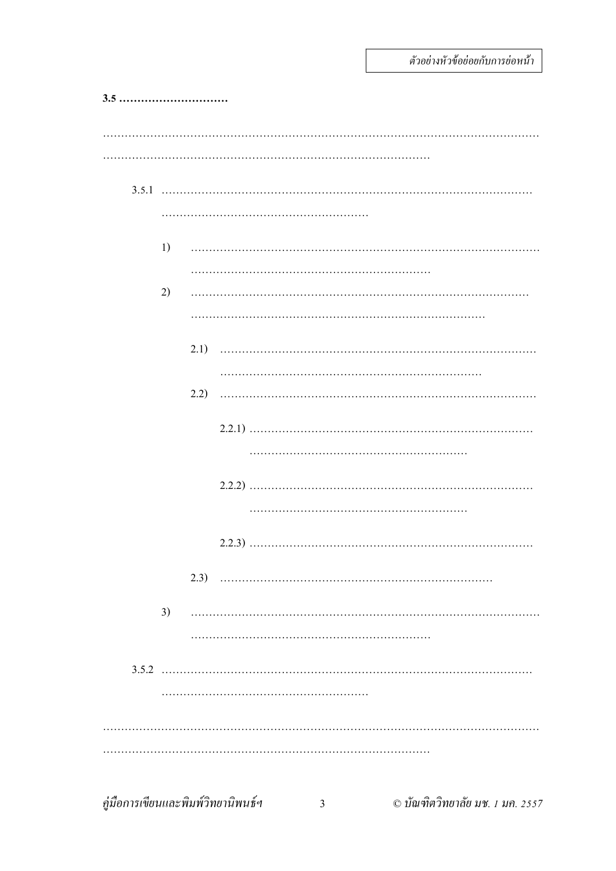| 3.5                                        |      |                |                                 |
|--------------------------------------------|------|----------------|---------------------------------|
|                                            |      |                |                                 |
|                                            |      |                |                                 |
|                                            |      |                |                                 |
|                                            |      |                |                                 |
|                                            | 1)   |                |                                 |
|                                            |      |                |                                 |
|                                            | 2)   |                |                                 |
|                                            |      |                |                                 |
|                                            |      |                |                                 |
|                                            |      |                |                                 |
|                                            | 2.2) |                |                                 |
|                                            |      |                |                                 |
|                                            |      |                |                                 |
|                                            |      |                |                                 |
|                                            |      |                |                                 |
|                                            |      |                |                                 |
|                                            |      |                |                                 |
|                                            | 3)   |                |                                 |
|                                            |      |                |                                 |
|                                            |      |                |                                 |
|                                            |      |                |                                 |
|                                            |      |                |                                 |
|                                            |      |                |                                 |
| คู่มือการเขียนและพิมพ์วิทยานิพนธ์ <i>ฯ</i> |      | $\overline{3}$ | © บัณฑิตวิทยาลัย มช. 1 มค. 2557 |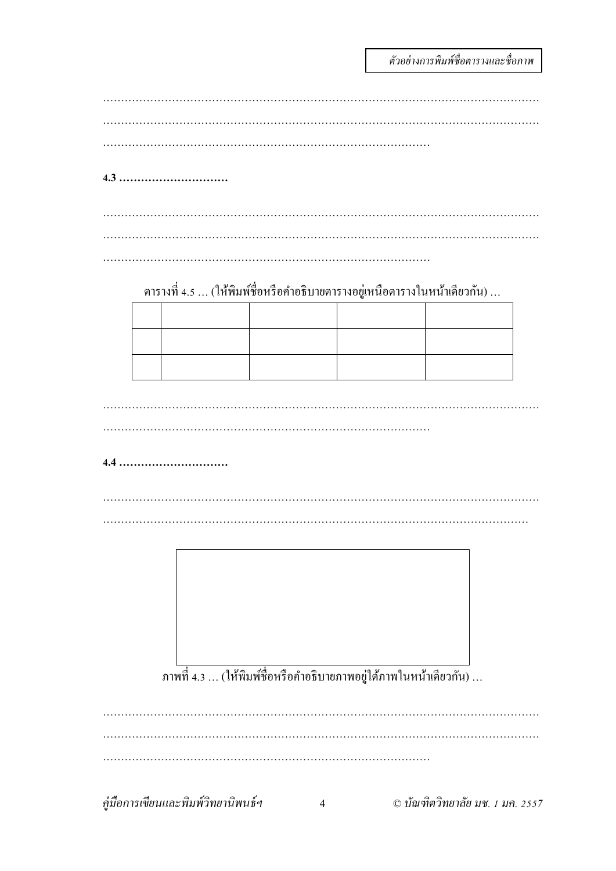์ตัวอย่างการพิมพ์ชื่อตารางและชื่อภาพ

| 4.3                                                                          |  |  |
|------------------------------------------------------------------------------|--|--|
|                                                                              |  |  |
|                                                                              |  |  |
|                                                                              |  |  |
|                                                                              |  |  |
|                                                                              |  |  |
|                                                                              |  |  |
|                                                                              |  |  |
|                                                                              |  |  |
| ตารางที่ 4.5 … (ให้พิมพ์ชื่อหรือคำอธิบายตารางอยู่เหนือตารางในหน้าเดียวกัน) … |  |  |
|                                                                              |  |  |
|                                                                              |  |  |
|                                                                              |  |  |
|                                                                              |  |  |
|                                                                              |  |  |
|                                                                              |  |  |
|                                                                              |  |  |
|                                                                              |  |  |
|                                                                              |  |  |
|                                                                              |  |  |
|                                                                              |  |  |
|                                                                              |  |  |
|                                                                              |  |  |
|                                                                              |  |  |
|                                                                              |  |  |
|                                                                              |  |  |
|                                                                              |  |  |
|                                                                              |  |  |
|                                                                              |  |  |
|                                                                              |  |  |
|                                                                              |  |  |
|                                                                              |  |  |
|                                                                              |  |  |
|                                                                              |  |  |
|                                                                              |  |  |
|                                                                              |  |  |
|                                                                              |  |  |

|<br>ภาพที่ 4.3 ... (ให้พิมพ์ชื่อหรือคำอธิบายภาพอยู่ใต้ภาพในหน้าเดียวกัน) ...

คู่มือการเขียนและพิมพ์วิทยานิพนธ์ฯ © บัณฑิตวิทยาลัย มช. 1 มค. 2557  $\overline{4}$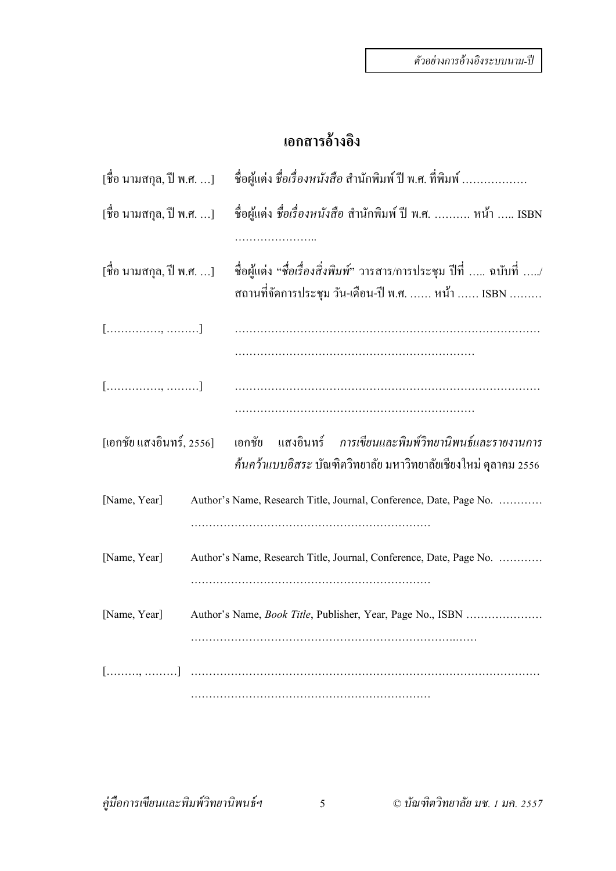#### **เอกสารอ างองิ ้**

| [ชื่อ นามสกุล, ปี พ.ศ. ] | ชื่อผู้แต่ง ชื่ <i>อเรื่องหนังสือ</i> สำนักพิมพ์ ปี พ.ศ. ที่พิมพ์                                                                    |  |  |  |  |  |  |  |  |
|--------------------------|--------------------------------------------------------------------------------------------------------------------------------------|--|--|--|--|--|--|--|--|
| [ชื่อ นามสกุล, ปี พ.ศ. ] | ชื่อผู้แต่ง ชื่อเรื่องหนังสือ สำนักพิมพ์ ปี พ.ศ.  หน้า  ISBN                                                                         |  |  |  |  |  |  |  |  |
| [ชื่อ นามสกุล, ปี พ.ศ. ] | ชื่อผู้แต่ง "ชื่ <i>อเรื่องสิ่งพิมพ์"</i> วารสาร/การประชุม ปีที่ … ฉบับที่ …/<br>สถานที่จัดการประชุม วัน-เดือน-ปี พ.ศ.  หน้า  ISBN   |  |  |  |  |  |  |  |  |
| $[$ , ]                  |                                                                                                                                      |  |  |  |  |  |  |  |  |
| $[$ , ]                  |                                                                                                                                      |  |  |  |  |  |  |  |  |
| [เอกชัย แสงอินทร์, 2556] | ิ การเขียนและพิมพ์วิทยานิพนธ์และรายงานการ<br>แสงอินทร์<br>เอกชัย<br>้ก้นกว้าแบบอิสระ บัณฑิตวิทยาลัย มหาวิทยาลัยเชียงใหม่ ตุลาคม 2556 |  |  |  |  |  |  |  |  |
| [Name, Year]             | Author's Name, Research Title, Journal, Conference, Date, Page No.                                                                   |  |  |  |  |  |  |  |  |
| [Name, Year]             | Author's Name, Research Title, Journal, Conference, Date, Page No.                                                                   |  |  |  |  |  |  |  |  |
| [Name, Year]             | Author's Name, <i>Book Title</i> , Publisher, Year, Page No., ISBN                                                                   |  |  |  |  |  |  |  |  |
|                          |                                                                                                                                      |  |  |  |  |  |  |  |  |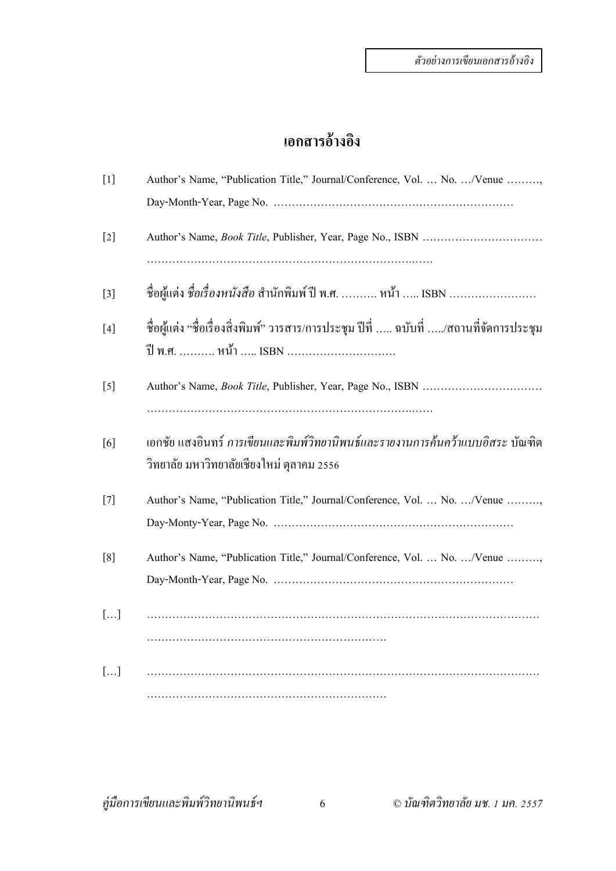#### **เอกสารอ างองิ ้**

| $[1]$ | Author's Name, "Publication Title," Journal/Conference, Vol.  No. /Venue ,                                                  |
|-------|-----------------------------------------------------------------------------------------------------------------------------|
|       |                                                                                                                             |
| $[2]$ |                                                                                                                             |
| $[3]$ | ชื่อผู้แต่ง ชื่อเรื่องหนังสือ สำนักพิมพ์ ปี พ.ศ.  หน้า  ISBN                                                                |
| $[4]$ | ชื่อผู้แต่ง "ชื่อเรื่องสิ่งพิมพ์" วารสาร/การประชุม ปีที่ … ฉบับที่ …/สถานที่จัดการประชุม<br>ปี พ.ศ.  หน้า  ISBN             |
| $[5]$ |                                                                                                                             |
| [6]   | เอกชัย แสงอินทร์ การเขียนและพิมพ์วิทยานิพนธ์และรายงานการค้นคว้าแบบอิสระ บัณฑิต<br>วิทยาลัย มหาวิทยาลัยเชียงใหม่ ตุลาคม 2556 |
| $[7]$ | Author's Name, "Publication Title," Journal/Conference, Vol.  No. /Venue ,                                                  |
| [8]   | Author's Name, "Publication Title," Journal/Conference, Vol.  No. /Venue ,                                                  |
| []    |                                                                                                                             |
| []    |                                                                                                                             |
|       |                                                                                                                             |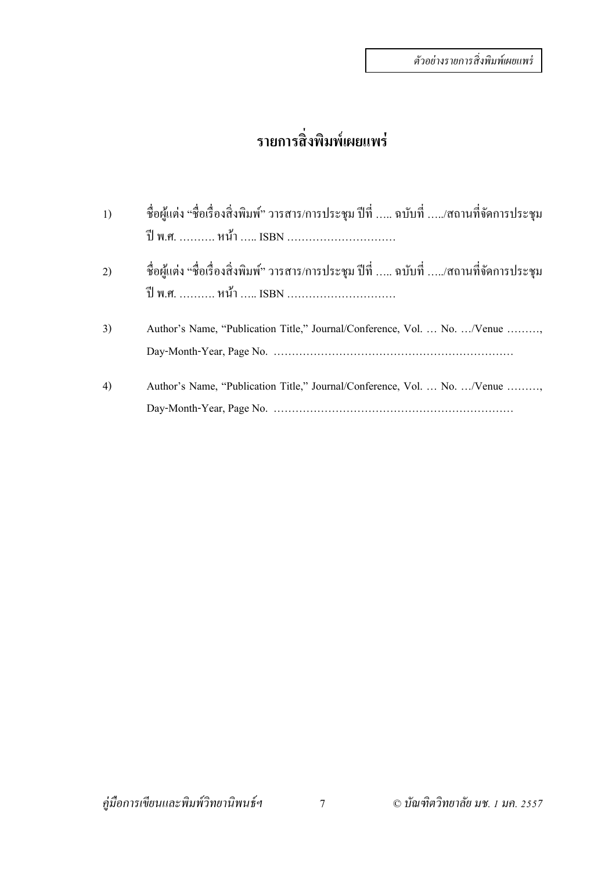# **รายการสิ่งพมพิ ์ เผยแพร่**

| 1) | ชื่อผู้แต่ง "ชื่อเรื่องสิ่งพิมพ์" วารสาร/การประชุม ปีที่  ฉบับที่ /สถานที่จัดการประชุม<br>ปี พ.ศ.  หน้ำ  ISBN |
|----|---------------------------------------------------------------------------------------------------------------|
| 2) | ชื่อผู้แต่ง "ชื่อเรื่องสิ่งพิมพ์" วารสาร/การประชุม ปีที่  ฉบับที่ /สถานที่จัดการประชุม<br>ปี พ.ศ.  หน้ำ  ISBN |
| 3) | Author's Name, "Publication Title," Journal/Conference, Vol.  No. /Venue                                      |
| 4) | Author's Name, "Publication Title," Journal/Conference, Vol.  No. /Venue                                      |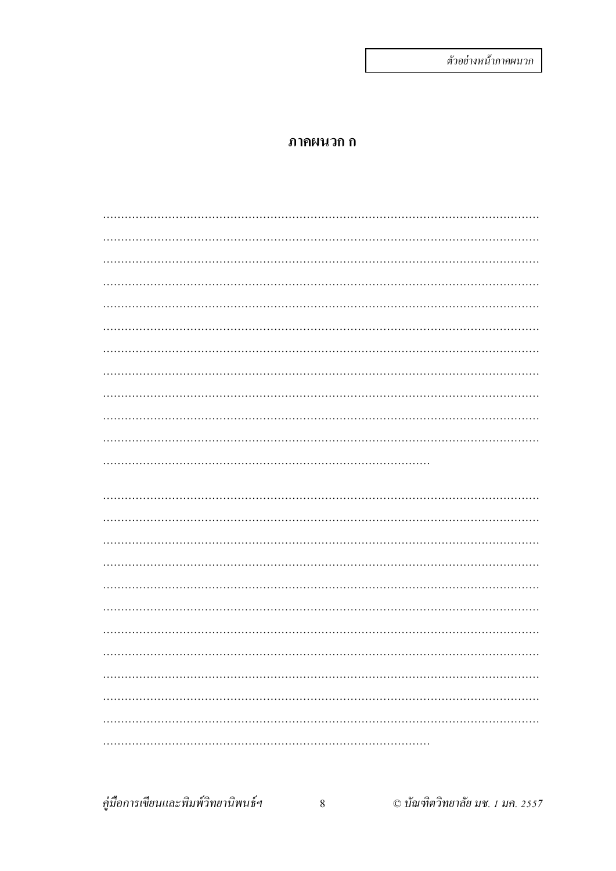#### ภาคผนวก ก

คู่มือการเขียนและพิมพ์วิทยานิพนธ์ฯ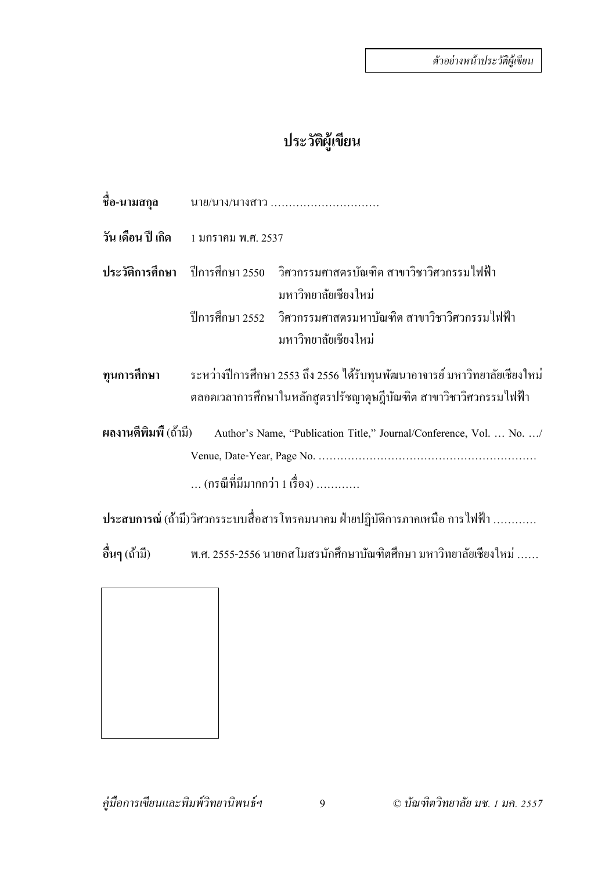#### ประวัติผู้เขียน  $\mathcal{L}(\mathcal{L})$

| ชื่อ-นามสกุล         | นาย/นาง/นางสาว                                                                                                                                   |
|----------------------|--------------------------------------------------------------------------------------------------------------------------------------------------|
|                      |                                                                                                                                                  |
|                      | ประวัติการศึกษา ปีการศึกษา 2550  วิศวกรรมศาสตรบัณฑิต สาขาวิชาวิศวกรรมใฟฟ้า<br>มหาวิทยาลัยเชียงใหม่                                               |
|                      | ปีการศึกษา 2552 วิศวกรรมศาสตรมหาบัณฑิต สาขาวิชาวิศวกรรมไฟฟ้า<br>มหาวิทยาลัยเชียงใหม่                                                             |
| ทุนการศึกษา          | ระหว่างปีการศึกษา 2553 ถึง 2556 ใค้รับทุนพัฒนาอาจารย์ มหาวิทยาลัยเชียงใหม่<br>็ตลอดเวลาการศึกษาในหลักสูตรปรัชญาคุษฎีบัณฑิต สาขาวิชาวิศวกรรมไฟฟ้า |
| ผลงานตีพิมพี (ถ้ามี) | Author's Name, "Publication Title," Journal/Conference, Vol.  No. /<br>(กรณีที่มีมากกว่า 1 เรื่อง)                                               |
|                      | ประสบการณ์ (ถ้ามี)วิศวกรระบบสื่อสารโทรคมนาคม ฝ่ายปฏิบัติการภาคเหนือ การไฟฟ้า                                                                     |
|                      | อื่นๆ (ถ้ามี)     พ.ศ. 2555-2556 นายกส โมสรนักศึกษาบัณฑิตศึกษา มหาวิทยาลัยเชียงใหม่ ……                                                           |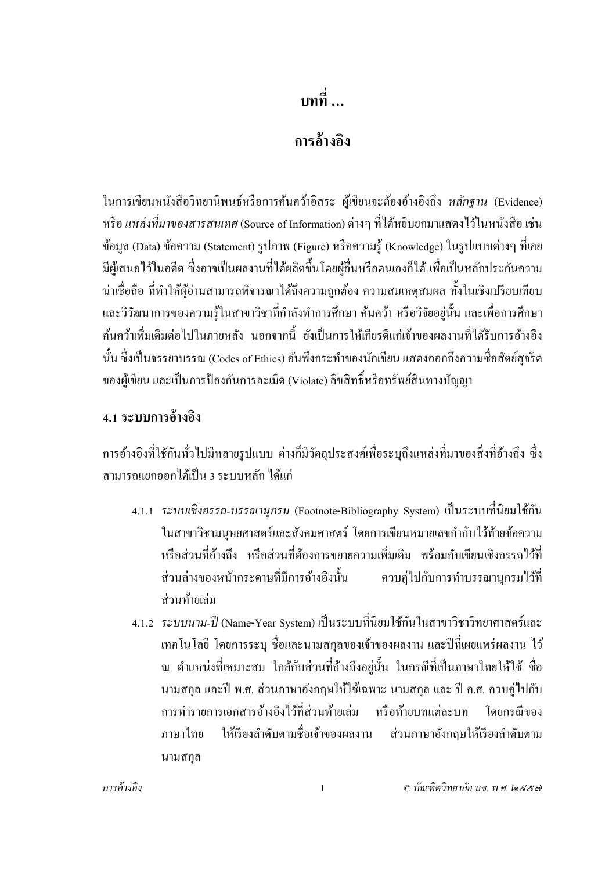**บทท … ี่**

#### **การอ างองิ ้**

ในการเขียนหนังสือวิทยานิพนธ์หรือการค้นคว้าอิสระ ผู้เขียนจะต้องอ้างอิงถึง *หลัก*ฐาน (Evidence) หรือ *แหล่งที่มาของสารสนเทศ* (Source of Information) ต่างๆ ที่ได้หยิบยกมาแสดงไว้ในหนังสือ เช่น ข้อมูล (Data) ข้อความ (Statement) รูปภาพ (Figure) หรือความรู้ (Knowledge) ในรูปแบบต่างๆ ที่เคย มีผู้เสนอไว้ในอดีต ซึ่งอาจเป็นผลงานที่ได้ผลิตขึ้นโดยผ้อื่นหรือตนเองก็ได้ เพื่อเป็นหลักประกันความ น่าเชื่อถือ ที่ทำให้ผู้อ่านสามารถพิจารณาได้ถึงความถูกต้อง ความสมเหตุสมผล ทั้งในเชิงเปรียบเทียบ และวิวัฒนาการของความร้ในสาขาวิชาที่กำลังทำการศึกษา ค้นคว้า หรือวิจัยอย่นั้น และเพื่อการศึกษา ค้นคว้าเพิ่มเติมต่อไปในภายหลัง นอกจากนี้ ยังเป็นการให้เกียรติแก่เจ้าของผลงานที่ได้รับการอ้างอิง นั้น ซึ่งเป็นจรรยาบรรณ (Codes of Ethics) อันพึงกระทำของนักเขียน แสดงออกถึงความซื่อสัตย์สุจริต ของผู้เขียน และเป็นการป้องกันการละเมิด (Violate) ลิขสิทธิ์หรือทรัพย์สินทางปัญญา

### **4.1 ระบบการอ้างองิ**

ึการอ้างอิงที่ใช้กันทั่วไปมีหลายรูปแบบ ต่างก็มีวัตถุประสงค์เพื่อระบุถึงแหล่งที่มาของสิ่งที่อ้างถึง ซึ่ง ี สามารถแยกออกได้เป็น 3 ระบบหลัก ได้แก่

- 4.1.1 *ระบบเชิงอรรถ-บรรณานุกรม* (Footnote-Bibliography System) เป็นระบบที่นิยมใชก้ นั ่ ในสาขาวิชามนุษยศาสตร์และสังคมศาสตร์ โดยการเขียนหมายเลขกำกับไว้ท้ายข้อความ หรือส่วนที่อ้างถึง หรือส่วนที่ต้องการขยายความเพิ่มเติม พร้อมกับเขียนเชิงอรรถไว้ที่ ี่ ส่วนล่างของหน้ากระดาษที่มีการอ้างอิงนั้น ควบคู่ไปกับการทำบรรณานุกรมไว้ที่ ส่วนท้ายเล่ม
- 4.1.2 *ระบบนาม-ป*ี (Name-Year System) เป็นระบบที่นิยมใช้กันในสาขาวิชาวิทยาศาสตร์และ เทคโนโลยี โดยการระบุ ชื่อและนามสกุลของเจ้าของผลงาน และปีที่เผยแพร่ผลงาน ไว้ ้ณ ตำแหน่งที่เหมาะสม ใกล้กับส่วนที่อ้างถึงอยู่นั้น ในกรณีที่เป็นภาษาไทยให้ใช้ ชื่อ ้นามสกุล และปี พ.ศ. ส่วนภาษาอังกฤษให้ใช้เฉพาะ นามสกุล และ ปี ค.ศ. ควบคู่ไปกับ ึ การทำรายการเอกสารอ้างอิงไว้ที่ส่วนท้ายเล่ม หรือท้ายบทแต่ละบท โดยกรณีของ ภาษาไทย ให้เรียงลำดับตามชื่อเจ้าของผลงาน ส่วนภาษาอังกถษให้เรียงลำดับตาม นามสกลุ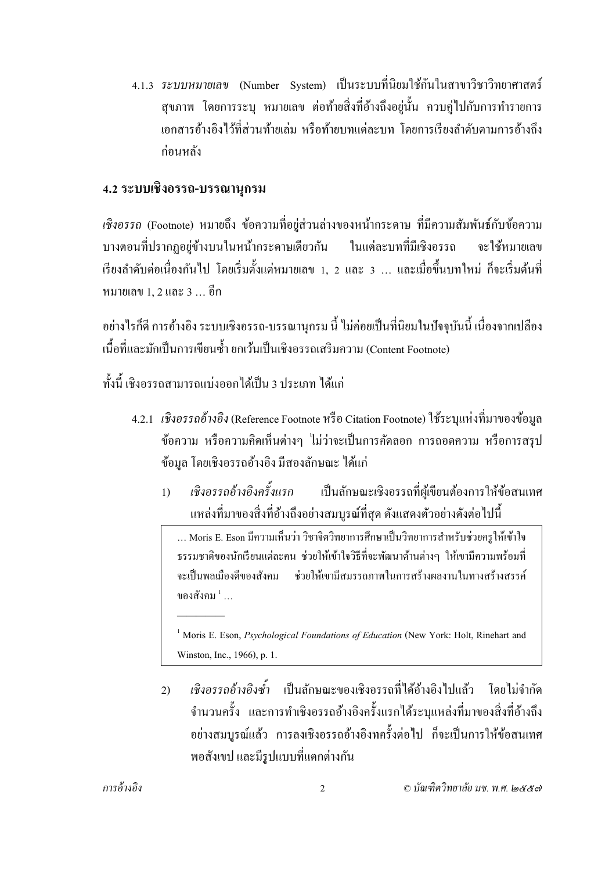4.1.3 *ระบบหมายเลข* (Number System) เป็นระบบที่นิยมใช้กันในสาขาวิชาวิทยาศาสตร์ ี สุขภาพ โดยการระบุ หมายเลข ต่อท้ายสิ่งที่อ้างถึงอยู่นั้น ควบคู่ไปกับการทำรายการ ้ เอกสารอ้างอิงไว้ที่ส่วนท้ายเล่ม หรือท้ายบทแต่ละบท โดยการเรียงลำดับตามการอ้างถึง ก่อนหลัง

### **4.2 ระบบเชิงอรรถ-บรรณานุกรม**

*้ เชิงอรรถ* (Footnote) หมายถึง ข้อความที่อย่ส่วนล่างของหน้ากระดาษ ที่มีความสัมพันธ์กับข้อความ บางตอนที่ปรากฏอย่ข้างบนในหน้ากระดาษเดียวกัน ในแต่ละบทที่มีเชิงอรรถ จะใช้หมายเลข เรียงลำดับต่อเนื่องกันไป โดยเริ่มตั้งแต่หมายเลข 1, 2 และ 3 ... และเมื่อขึ้นบทใหม่ ก็จะเริ่มต้นที่ หมายเลข 1, 2และ3 … อีก

้อย่างไรก็ดี การอ้างอิง ระบบเชิงอรรถ-บรรณานุกรม นี้ ไม่ค่อยเป็นที่นิยมในปัจจุบันนี้ เนื่องจากเปลือง เนื้อที่และมักเป็นการเขียนซ้ำ ยกเว้นเป็นเชิงอรรถเสริมความ (Content Footnote)

ทั้งนี้ เชิงอรรถสามารถแบ่งออกได้เป็น 3 ประเภท ได้แก่

—————

- 4.2.1 *เชิงอรรถอ้างอิง* (Reference Footnote หรือ Citation Footnote) ใช้ระบุแห่งที่มาของข้อมูล ้ ข้อความ หรือความคิดเห็นต่างๆ ไม่ว่าจะเป็นการคัดลอก การถอดความ หรือการสรป ข้อมูล โดยเชิงอรรถอ้างอิง มีสองลักษณะ ได้แก่
	- 1) *เชิงอรรถอ้างอิงครั้งแรก* เป็นลักษณะเชิงอรรถที่ผู้เขียนต้องการให้ข้อสนเทศ ้ แหล่งที่มาของสิ่งที่อ้างถึงอย่างสมบูรณ์ที่สุด ดังแสดงตัวอย่างดังต่อไปนี้

… Moris E. Eson มีความเห็นว่า วิชาจิตวิทยาการศึกษาเป็นวิทยาการสำหรับช่วยครูให้เข้าใจ ึ ธรรมชาติของนักเรียนแต่ละคน ช่วยให้เข้าใจวิธีที่จะพัฒนาด้านต่างๆ ให้เขามีความพร้อมที่ จะเป็นพลเมืองดีของสังคม ช่วยให้เขามีสมรรถภาพในการสร้างผลงานในทางสร้างสรรค์ ของสังคม $^{\, 1} \, ...$ 

<sup>&</sup>lt;sup>1</sup> Moris E. Eson, *Psychological Foundations of Education* (New York: Holt, Rinehart and Winston, Inc., 1966), p. 1.

<sup>2)</sup> *เชิงอรรถอ้างอิงซ้ำ* เป็นลักษณะของเชิงอรรถที่ได้อ้างอิงไปแล้ว โดยไม่จำกัด ึ จำนวนครั้ง และการทำเชิงอรรถอ้างอิงครั้งแรกได้ระบุแหล่งที่มาของสิ่งที่อ้างถึง ้อย่างสมบูรณ์แล้ว การลงเชิงอรรถอ้างอิงทครั้งต่อไป ก็จะเป็นการให้ข้อสนเทศ พอสังเขป และมีรูปแบบที่แตกต่างกัน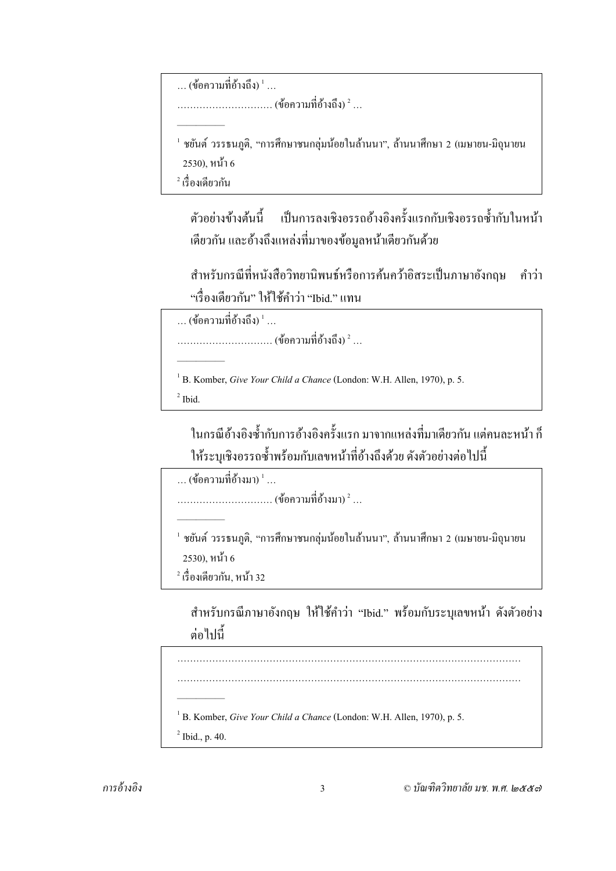```
\dots (ข้อความที่อ้างถึง) ^1\dots
```
 $\dots\ldots\dots\dots\dots\dots\dots\dots$  (ข้อความที่อ้างถึง)  $^2$  ...

 $^{\rm 1}$  ชยันต์ วรรธนภติ. "การศึกษาชนกลุ่มน้อยในล้านนา". ล้านนาศึกษา 2 (เมษายน-มิถุนายน  $(2530)$ , หน้า 6<br> $\frac{2}{3}$ เรื่องเดียวกัน

—————

ตัวอย่างข้างต้นนี้ เป็นการลงเชิงอรรถอ้างอิงครั้งแรกกับเชิงอรรถซ้ำกับในหน้า ้ เดียวกัน และอ้างถึงแหล่งที่มาของข้อมูลหน้าเดียวกันด้วย

ี สำหรับกรณีที่หนังสือวิทยานิพนธ์หรือการค้นคว้าอิสระเป็นภาษาอังกฤษ คำว่า "เรื่องเดียวกัน" ให้ใช้คำว่า "Ibid." แทน

 $\dots$  (ข้อความที่อ้างถึง)  $^1\dots$ 

—————

 $\dots\ldots\dots\dots\dots\dots\dots\dots$  (ข้อความที่อ้างถึง)  $^2$  ...

```
<sup>1</sup> B. Komber, Give Your Child a Chance (London: W.H. Allen, 1970), p. 5.<br><sup>2</sup> Ibid
<sup>2</sup> Ibid.</sup>
```
ในกรณีอ้างอิงซ้ำกับการอ้างอิงครั้งแรก มาจากแหล่งที่มาเดียวกัน แต่คนละหน้า ก็ ให้ระบุเชิงอรรถซ้ำพร้อมกับเลขหน้าที่อ้างถึงด้วย ดังตัวอย่างต่อไปนี้

 $\dots$  (ข้อความที่อ้างมา)  $^1\dots$ 

 $\ldots\ldots\ldots\ldots\ldots\ldots\ldots$ . (ข้อความที่อ้างมา)  $^2$  ...

 $^{\rm 1}$  ชยันต์ วรรธนภติ, "การศึกษาชนกลุ่มน้อยในล้านนา", ล้านนาศึกษา 2 (เมษายน-มิถุนายน  $-$  2530), หน้า 6<br><sup>2</sup> เรื่องเดียวกัน. หน้า 32

—————

ี สำหรับกรณีภาษาอังกฤษ ให้ใช้คำว่า "Ibid." พร้อมกับระบุเลขหน้า ดังตัวอย่าง ต่อไปน้ี

……………………………………………………………………………………………… ………………………………………………………………………………………………

<sup>1</sup> B. Komber, *Give Your Child a Chance* (London: W.H. Allen, 1970), p. 5.<br><sup>2</sup> Ibid. n. 40.

```
<sup>2</sup> Ibid., p. 40.</sup>
```
—————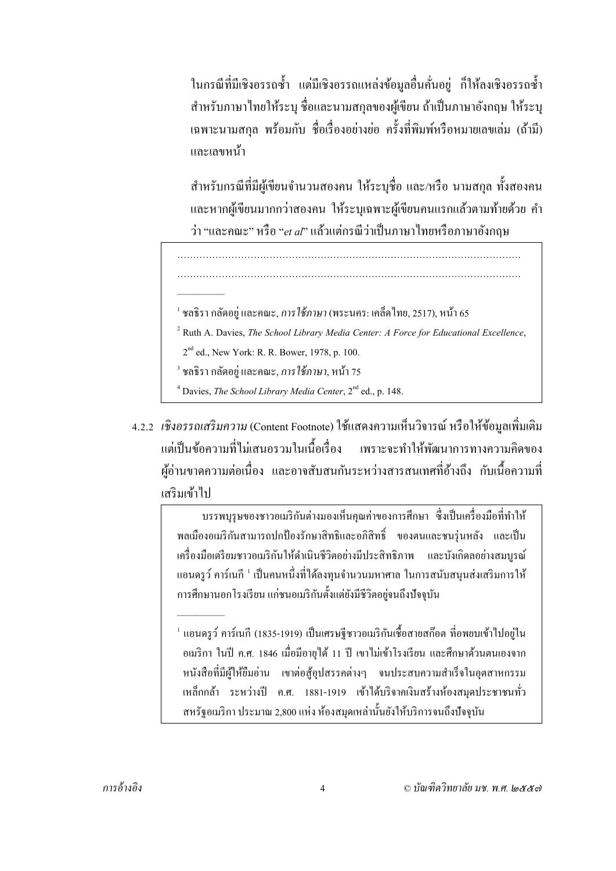ในกรณีที่มีเชิงอรรถซ้ำ แต่มีเชิงอรรถแหล่งข้อมูลอื่นคั่นอยู่ ก็ให้ลงเชิงอรรถซ้ำ ี สำหรับภาษาไทยให้ระบุ ชื่อและนามสกุลของผู้เขียน ถ้าเป็นภาษาอังกฤษ ให้ระบุ ี เฉพาะนามสกล พร้อมกับ ชื่อเรื่องอย่างย่อ ครั้งที่พิมพ์หรือหมายเลขเล่ม (ถ้ามี) และเลขหนา้

สำหรับกรณีที่มีผู้เขียนจำนวนสองคน ให้ระบุชื่อ และ/หรือ นามสกุล ทั้งสองคน ้ และหากผู้เขียนมากกว่าสองคน ให้ระบุเฉพาะผู้เขียนคนแรกแล้วตามท้ายด้วย คำ ว่า "และคณะ" หรือ "*et al*" แล้วแต่กรณีว่าเป็นภาษาไทยหรือภาษาอังกฤษ

……………………………………………………………………………………………… ………………………………………………………………………………………………

<sup>1</sup> ชลธิรา กลัดอย่ และคณะ, *การใช้ภาษา* (พระนคร: เคล็ดไทย, 2517), หน้า 65

Ruth A. Davies, *The School Library Media Center: A Force for Educational Excellence*,

 $2<sup>nd</sup>$  ed., New York: R. R. Bower, 1978, p. 100.

—————

—————

 $^3$  ชลธิรา กลัดอยู่ และคณะ, *การใช้ภาษา*, หน้า 75

Davies, *The School Library Media Center*, 2<sup>nd</sup> ed., p. 148.

4.2.2 *เชิงอรรถเสริมความ* (Content Footnote) ใช้แสดงความเห็นวิจารณ์ หรือให้ข้อมูลเพิ่มเติม แต่เป็นข้อความที่ไม่เสนอรวมในเนื้อเรื่อง ือเรื่อง เพราะจะทาใหํ พ้ ฒนาการทางความค ั ิดของ ผู้อ่านขาดความต่อเนื่อง และอาจสับสนกันระหว่างสารสนเทศที่อ้างถึง กับเนื้อความที่ เสริมเข้าไป

> บรรพบุรุษของชาวอเมริกนตั ่างมองเห็นคุณค่าของการศึกษา ซ่ึงเป็นเครื่องมือที่ทาใหํ ้ พลเมืองอเมริกันสามารถปกป้องรักษาสิทธิและอภิสิทธิ์ ของตนและชนรุ่นหลัง และเป็น ี เครื่องมือเตรียมชาวอเมริกันให้ดำเนินชีวิตอย่างมีประสิทธิภาพ และบังเกิดลอย่างสมบูรณ์ แอนดรูว์ คาร์เนกี <sup>1</sup> เป็นคนหนึ่งที่ได้ลงทุนจำนวนมหาศาล ในการสนับสนุนส่งเสริมการให้ การศึกษานอกโรงเรียน แก่ชนอเมริกันตั้งแต่ยังมีชีวิตอยู่จนถึงปัจจุบัน

> $^{\text{\tiny{\text{1}}}}$  แอนดรูว์ คาร์เนกี (1835-1919) เป็นเศรษฐีชาวอเมริกันเชื้อสายสก๊อต ที่อพยบเข้าไปอยู่ใน ้ อเมริกา ในปี ค.ศ. 1846 เมื่อมีอายได้ 11 ปี เขาไม่เข้าโรงเรียน และศึกษาด้วนตนเองจาก หนงสั ือที่มีผใหู้ ย้มอื ่าน เขาต่อสู้อุปสรรคต่างๆ จนประสบความสาเรํ ็จในอุตสาหกรรม ้ เหล็กกล้า ระหว่างปี ค.ศ. 1881-1919 เข้าได้บริจาคเงินสร้างห้องสมุดประชาชนทั่ว สหรัฐอเมริกา ประมาณ 2,800 แห่ง ห้องสมดเหล่านั้นยังให้บริการจนถึงปัจจุบัน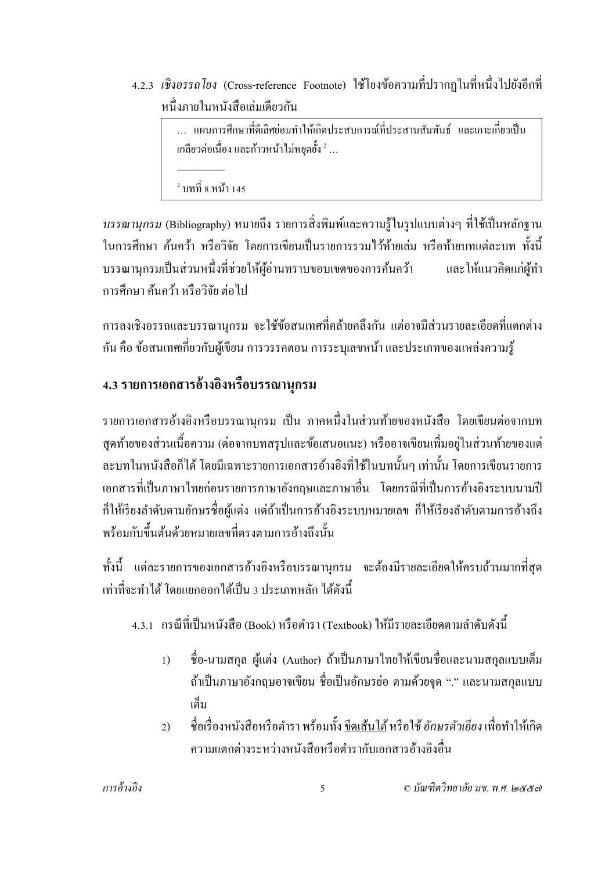4.2.3 *เชิงอรรถโยง* (Cross-reference Footnote) ใชโยงข ้ อความท ้ ี่ปรากฏในที่หน่ึงไปยงอั ีกที่ หนึ่งภายในหนังสือเล่มเดียวกัน

> … แผนการศึกษาที่ดีเลิศย่อมทำให้เกิดประสบการณ์ที่ประสานสัมพันธ์ และเกาะเกี่ยวเป็น เกลียวต่อเนื่อง และก้าวหน้าไม่หยุดยั้ง  $^2$  ...

 $^2$  บทที่ 8 หน้า 145

—————

*บรรณานุกรม (*Bibliography) หมายถึง รายการสิ่งพิมพ์และความรู้ในรูปแบบต่างๆ ที่ใช้เป็นหลักฐาน ในการศึกษา ค้นคว้า หรือวิจัย โดยการเขียนเป็นรายการรวมไว้ท้ายเล่ม หรือท้ายบทแต่ละบท ทั้งนี้ ้ บรรณานุกรมเป็นส่วนหนึ่งที่ช่วยให้ผ้อ่านทราบขอบเขตของการค้นคว้า และให้แนวคิดแก่ผ้ทำ ึการศึกษา ค้นคว้า หรือวิจัย ต่อไป

ึการลงเชิงอรรถและบรรณานุกรม จะใช้ข้อสนเทศที่คล้ายคลึงกัน แต่อาจมีส่วนรายละเอียดที่แตกต่าง ึกัน คือ ข้อสนเทศเกี่ยวกับผู้เขียน การวรรคตอน การระบเลขหน้า และประเภทของแหล่งความร้

### **4.3 รายการเอกสารอ้างองหร ิ ื อบรรณานุกรม**

รายการเอกสารอ้างอิงหรือบรรณานุกรม เป็น ภาคหนึ่งในส่วนท้ายของหนังสือ โดยเขียนต่อจากบท สุดท้ายของส่วนเนื้อความ (ต่อจากบทสรุปและข้อเสนอแนะ) หรืออาจเขียนเพิ่มอยู่ในส่วนท้ายของแต่ ้ ละบทในหนังสือก็ได้ โดยมีเฉพาะรายการเอกสารอ้างอิงที่ใช้ในบทนั้นๆ เท่านั้น โดยการเขียนรายการ ี่ เอกสารที่เป็นภาษาไทยก่อนรายการภาษาอังกฤษและภาษาอื่น โดยกรณีที่เป็นการอ้างอิงระบบนามปี ึก็ให้เรียงลำดับตามอักษรชื่อผู้แต่ง แต่ถ้าเป็นการอ้างอิงระบบหมายเลข ก็ให้เรียงลำดับตามการอ้างถึง พร้อมกับขึ้นต้นด้วยหมายเลขที่ตรงตามการอ้างถึงนั้น

ทั้งนี้ แต่ละรายการของเอกสารอ้างอิงหรือบรรณานุกรม จะต้องมีรายละเอียดให้ครบถ้วนมากที่สุด ้ เท่าที่จะทำได้ โดยแยกออกได้เป็น 3 ประเภทหลัก ได้ดังนี้

ี 4.3.1 กรณีที่เป็นหนังสือ (Book) หรือตำรา (Textbook) ให้มีรายละเอียดตามลำดับดังนี้

- 1) ชื่อ-นามสกุล ผู้แต่ง (Author) ถ้าเป็นภาษาไทยให้เขียนชื่อและนามสกุลแบบเต็ม ถ้าเป็นภาษาอังกฤษอาจเขียน ชื่อเป็นอักษรย่อ ตามด้วยจุด "." และนามสกุลแบบ เตม็
- 2) ชื่อเรื่องหนังสือหรือตำรา พร้อมทั้ง <u>ขีดเส้นใต้</u> หรือใช้ *อักษรตัวเอียง* เพื่อทำให้เกิด ้ ความแตกต่างระหว่างหนังสือหรือตำรากับเอกสารอ้างอิงอื่น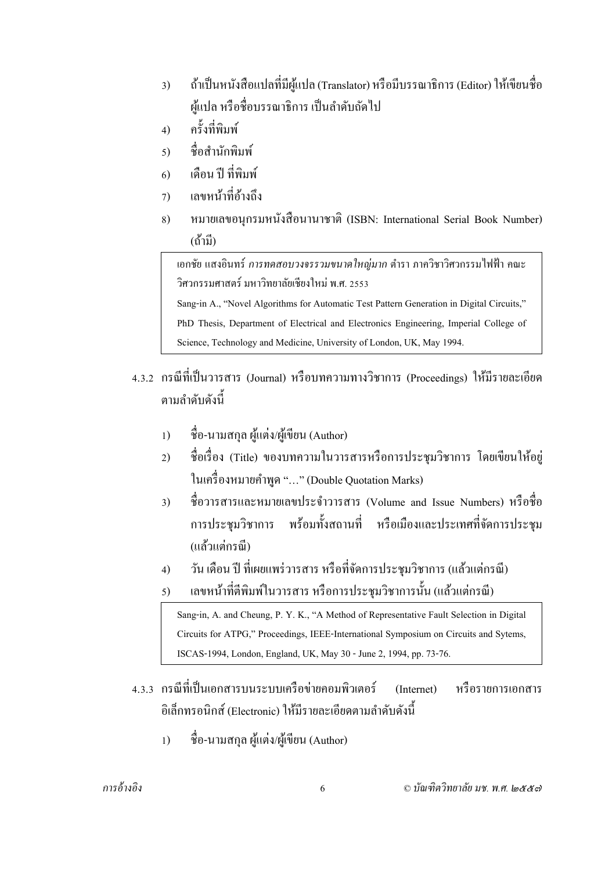- 3) ถ้าเป็นหนังสือแปลที่มีผู้แปล (Translator) หรือมีบรรณาธิการ (Editor) ให้เขียนชื่อ ผู้แปล หรือชื่อบรรณาธิการ เป็นลำดับถัดไป
- 4) คร้ังที่พิมพ์
- 5) ชื่อสำนักพิมพ์
- 6) เดือน ปีที่พิมพ์
- 7) เลขหน้าที่อ้างถึง
- 8) หมายเลขอนุกรมหนังสือนานาชาติ (ISBN: International Serial Book Number) (ถ้ำมี)

<u>ี</u> เอกชัย แสงอินทร์ *การทดสอบวงจรรวมขนาดใหญ่มาก* ตำรา ภาควิชาวิศวกรรมไฟฟ้า คณะ วิศวกรรมศาสตร์ มหาวิทยาลัยเชียงใหม่ พ.ศ. 2553

Sang-in A., "Novel Algorithms for Automatic Test Pattern Generation in Digital Circuits,"

PhD Thesis, Department of Electrical and Electronics Engineering, Imperial College of

Science, Technology and Medicine, University of London, UK, May 1994.

- 4.3.2 กรณีที่เป็นวารสาร (Journal) หรือบทความทางวิชาการ (Proceedings) ใหม้ีรายละเอียด ้ตามลำดับดังนี้
	- 1) ชื่อ-นามสกุล ผู้แต่ง/ผู้เขียน (Author)
	- 2) ชื่อเรื่อง (Title) ของบทความในวารสารหรือการประชุมวิชาการ โดยเขียนให้อยู่ ในเครื่องหมายคำพูด "..." (Double Quotation Marks)
	- 3) ชื่อวารสารและหมายเลขประจำวารสาร (Volume and Issue Numbers) หรือชื่อ การประชุมวิชาการ พร้อมทั้งสถานที่ หรือเมืองและประเทศที่จัดการประชุม (แล้วแต่กรณี)
	- 4) วัน เดือน ปี ที่เผยแพร่วารสาร หรือที่จัดการประชุมวิชาการ (แล้วแต่กรณี)
	- 5) เลขหน้าที่ตีพิมพ์ในวารสาร หรือการประชุมวิชาการนั้น (แล้วแต่กรณี)

Sang-in, A. and Cheung, P. Y. K., "A Method of Representative Fault Selection in Digital Circuits for ATPG," Proceedings, IEEE-International Symposium on Circuits and Sytems, ISCAS-1994, London, England, UK, May 30 - June 2, 1994, pp. 73-76.

- 4.3.3 กรณีที่เป็นเอกสารบนระบบเครือข่ายคอมพิวเตอร์ (Internet) หรือรายการเอกสาร อิเล็กทรอบิกส์ (Electronic) ให้มีรายละเอียดตามลำดับดังนี้
	- 1) ชื่อ-นามสกุล ผู้แต่ง/ผู้เขียน (Author)